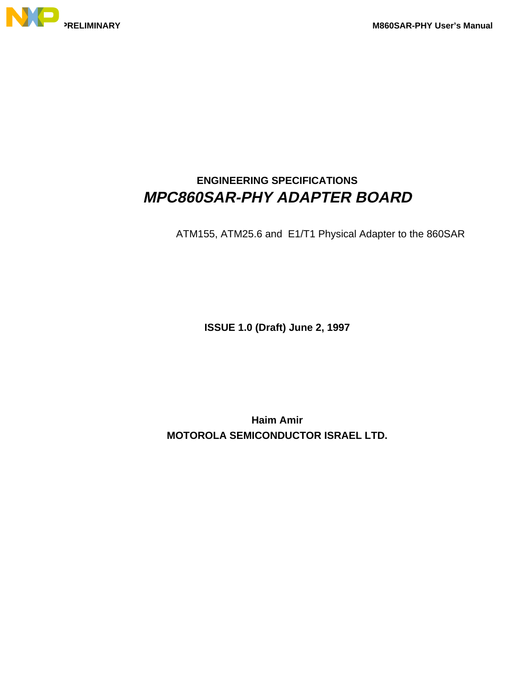

# **ENGINEERING SPECIFICATIONS MPC860SAR-PHY ADAPTER BOARD**

ATM155, ATM25.6 and E1/T1 Physical Adapter to the 860SAR

**ISSUE 1.0 (Draft) June 2, 1997**

**Haim Amir MOTOROLA SEMICONDUCTOR ISRAEL LTD.**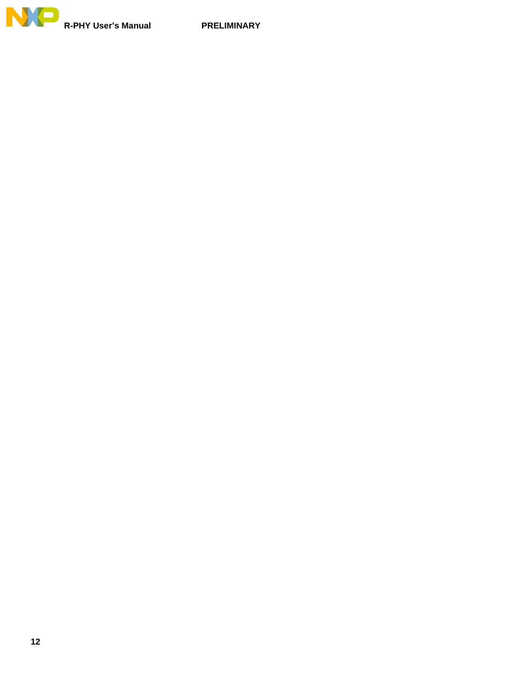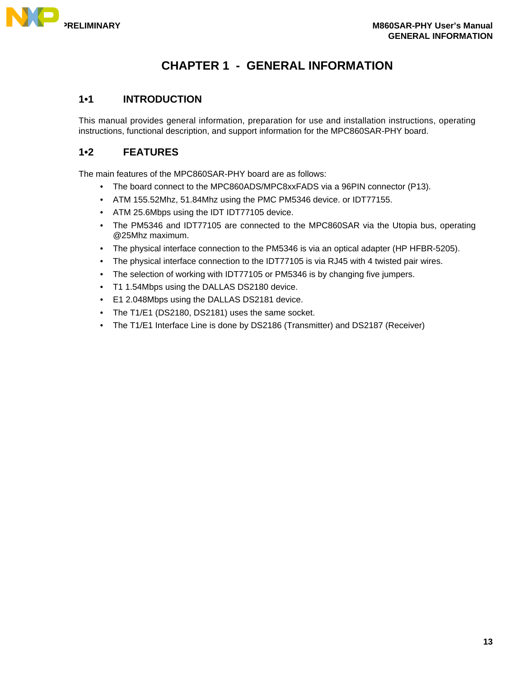

# **CHAPTER 1 - GENERAL INFORMATION**

### **1•1 INTRODUCTION**

This manual provides general information, preparation for use and installation instructions, operating instructions, functional description, and support information for the MPC860SAR-PHY board.

# **1•2 FEATURES**

The main features of the MPC860SAR-PHY board are as follows:

- The board connect to the MPC860ADS/MPC8xxFADS via a 96PIN connector (P13).
- ATM 155.52Mhz, 51.84Mhz using the PMC PM5346 device. or IDT77155.
- ATM 25.6Mbps using the IDT IDT77105 device.
- The PM5346 and IDT77105 are connected to the MPC860SAR via the Utopia bus, operating @25Mhz maximum.
- The physical interface connection to the PM5346 is via an optical adapter (HP HFBR-5205).
- The physical interface connection to the IDT77105 is via RJ45 with 4 twisted pair wires.
- The selection of working with IDT77105 or PM5346 is by changing five jumpers.
- T1 1.54Mbps using the DALLAS DS2180 device.
- E1 2.048Mbps using the DALLAS DS2181 device.
- The T1/E1 (DS2180, DS2181) uses the same socket.
- The T1/E1 Interface Line is done by DS2186 (Transmitter) and DS2187 (Receiver)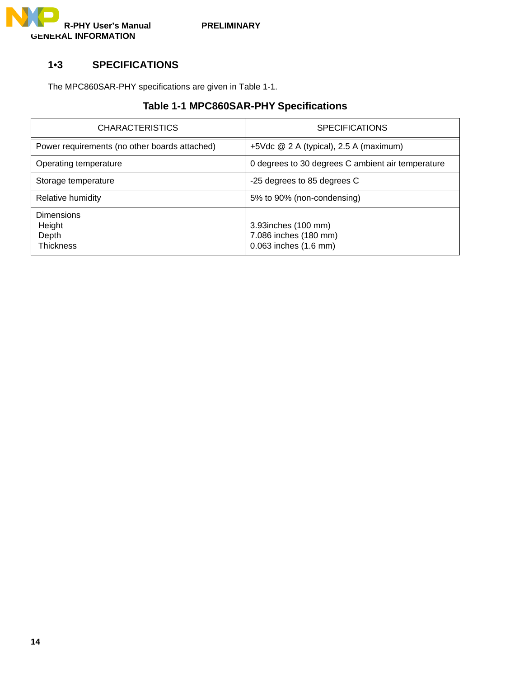

# **1•3 SPECIFICATIONS**

The MPC860SAR-PHY specifications are given in Table 1-1.

# **Table 1-1 MPC860SAR-PHY Specifications**

| <b>CHARACTERISTICS</b>                                   | <b>SPECIFICATIONS</b>                                                  |
|----------------------------------------------------------|------------------------------------------------------------------------|
| Power requirements (no other boards attached)            | +5Vdc $@$ 2 A (typical), 2.5 A (maximum)                               |
| Operating temperature                                    | 0 degrees to 30 degrees C ambient air temperature                      |
| Storage temperature                                      | -25 degrees to 85 degrees C                                            |
| Relative humidity                                        | 5% to 90% (non-condensing)                                             |
| <b>Dimensions</b><br>Height<br>Depth<br><b>Thickness</b> | 3.93 inches (100 mm)<br>7.086 inches (180 mm)<br>0.063 inches (1.6 mm) |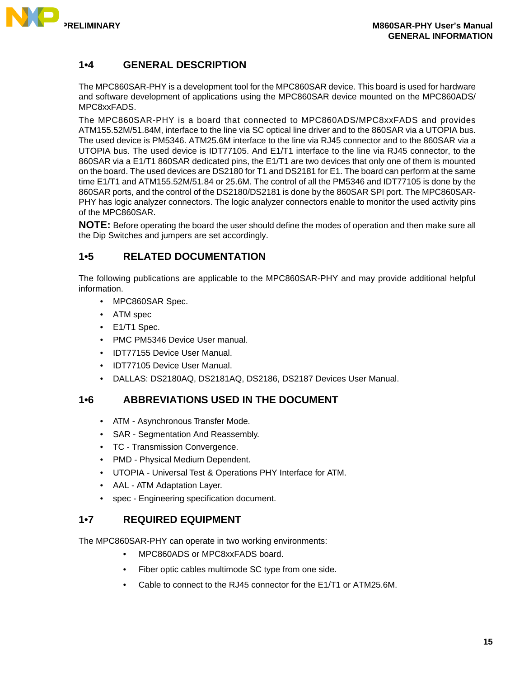

# **1•4 GENERAL DESCRIPTION**

The MPC860SAR-PHY is a development tool for the MPC860SAR device. This board is used for hardware and software development of applications using the MPC860SAR device mounted on the MPC860ADS/ MPC8xxFADS.

The MPC860SAR-PHY is a board that connected to MPC860ADS/MPC8xxFADS and provides ATM155.52M/51.84M, interface to the line via SC optical line driver and to the 860SAR via a UTOPIA bus. The used device is PM5346. ATM25.6M interface to the line via RJ45 connector and to the 860SAR via a UTOPIA bus. The used device is IDT77105. And E1/T1 interface to the line via RJ45 connector, to the 860SAR via a E1/T1 860SAR dedicated pins, the E1/T1 are two devices that only one of them is mounted on the board. The used devices are DS2180 for T1 and DS2181 for E1. The board can perform at the same time E1/T1 and ATM155.52M/51.84 or 25.6M. The control of all the PM5346 and IDT77105 is done by the 860SAR ports, and the control of the DS2180/DS2181 is done by the 860SAR SPI port. The MPC860SAR-PHY has logic analyzer connectors. The logic analyzer connectors enable to monitor the used activity pins of the MPC860SAR.

**NOTE:** Before operating the board the user should define the modes of operation and then make sure all the Dip Switches and jumpers are set accordingly.

# **1•5 RELATED DOCUMENTATION**

The following publications are applicable to the MPC860SAR-PHY and may provide additional helpful information.

- MPC860SAR Spec.
- ATM spec
- E1/T1 Spec.
- PMC PM5346 Device User manual.
- IDT77155 Device User Manual.
- IDT77105 Device User Manual.
- DALLAS: DS2180AQ, DS2181AQ, DS2186, DS2187 Devices User Manual.

#### **1•6 ABBREVIATIONS USED IN THE DOCUMENT**

- ATM Asynchronous Transfer Mode.
- SAR Segmentation And Reassembly.
- TC Transmission Convergence.
- PMD Physical Medium Dependent.
- UTOPIA Universal Test & Operations PHY Interface for ATM.
- AAL ATM Adaptation Layer.
- spec Engineering specification document.

#### **1•7 REQUIRED EQUIPMENT**

The MPC860SAR-PHY can operate in two working environments:

- MPC860ADS or MPC8xxFADS board.
- Fiber optic cables multimode SC type from one side.
- Cable to connect to the RJ45 connector for the E1/T1 or ATM25.6M.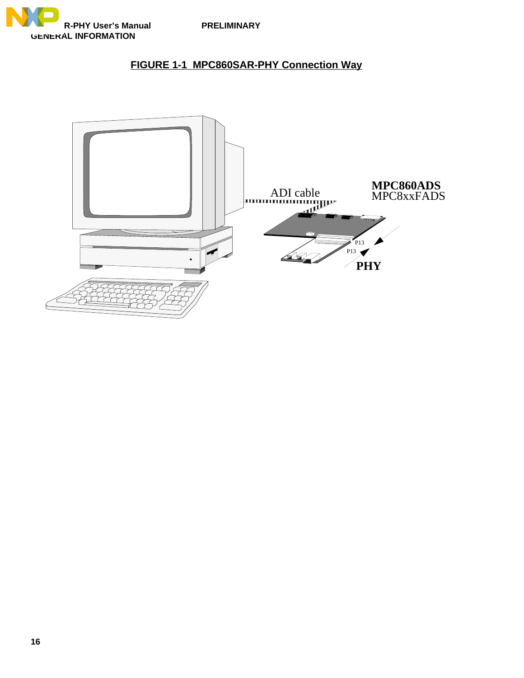



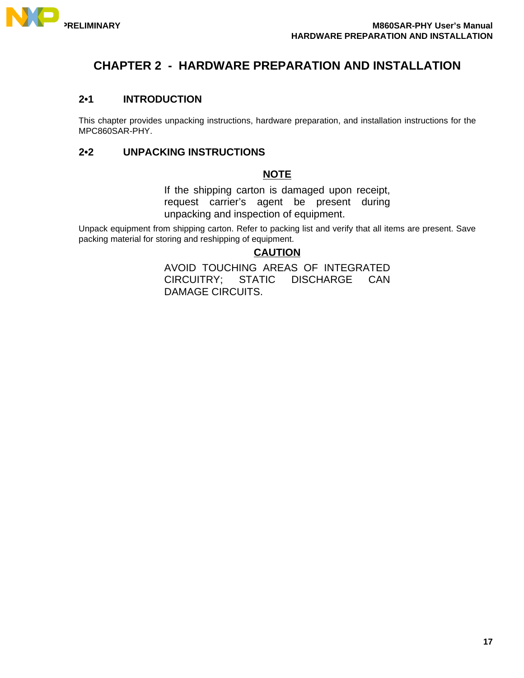

# **CHAPTER 2 - HARDWARE PREPARATION AND INSTALLATION**

#### **2•1 INTRODUCTION**

This chapter provides unpacking instructions, hardware preparation, and installation instructions for the MPC860SAR-PHY.

#### **2•2 UNPACKING INSTRUCTIONS**

#### **NOTE**

If the shipping carton is damaged upon receipt, request carrier's agent be present during unpacking and inspection of equipment.

Unpack equipment from shipping carton. Refer to packing list and verify that all items are present. Save packing material for storing and reshipping of equipment.

#### **CAUTION**

AVOID TOUCHING AREAS OF INTEGRATED CIRCUITRY; STATIC DISCHARGE CAN DAMAGE CIRCUITS.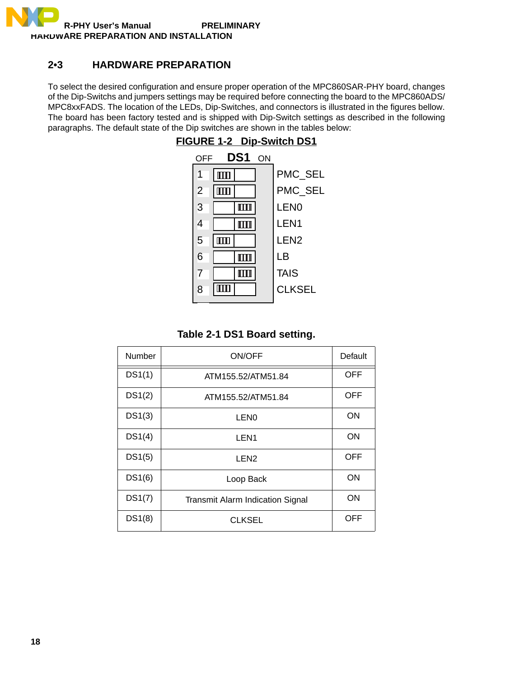

# **2•3 HARDWARE PREPARATION**

To select the desired configuration and ensure proper operation of the MPC860SAR-PHY board, changes of the Dip-Switchs and jumpers settings may be required before connecting the board to the MPC860ADS/ MPC8xxFADS. The location of the LEDs, Dip-Switches, and connectors is illustrated in the figures bellow. The board has been factory tested and is shipped with Dip-Switch settings as described in the following paragraphs. The default state of the Dip switches are shown in the tables below:



# **FIGURE 1-2 Dip-Switch DS1**

#### **Table 2-1 DS1 Board setting.**

| Number | ON/OFF                                  | Default    |
|--------|-----------------------------------------|------------|
| DS1(1) | ATM155.52/ATM51.84                      | <b>OFF</b> |
| DS1(2) | ATM155.52/ATM51.84                      | OFF        |
| DS1(3) | LEN0                                    | ON         |
| DS1(4) | LEN <sub>1</sub>                        | ON         |
| DS1(5) | LEN2                                    | OFF        |
| DS1(6) | Loop Back                               | ON         |
| DS1(7) | <b>Transmit Alarm Indication Signal</b> | ON         |
| DS1(8) | <b>CLKSEL</b>                           | OFF        |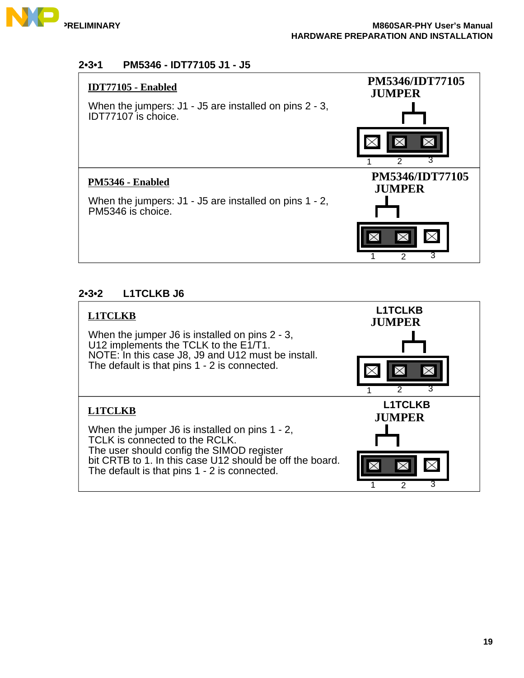

# **2•3•1 PM5346 - IDT77105 J1 - J5**

#### **PM5346/IDT77105 IDT77105 - Enabled JUMPER** When the jumpers: J1 - J5 are installed on pins 2 - 3, IDT77107 is choice.  $\boxtimes$  $\boxtimes$  $\times$ 1  $\overline{2}$ **PM5346/IDT77105 PM5346 - Enabled JUMPER** When the jumpers: J1 - J5 are installed on pins 1 - 2, PM5346 is choice.  $\times$  $\times$  $\times$ 2 3 1

# **2•3•2 L1TCLKB J6**

| <b>L1TCLKB</b>                                                                                                                                                                                | <b>L1TCLKB</b><br><b>JUMPER</b> |
|-----------------------------------------------------------------------------------------------------------------------------------------------------------------------------------------------|---------------------------------|
| When the jumper J6 is installed on pins 2 - 3,<br>U12 implements the TCLK to the E1/T1.<br>NOTE: In this case J8, J9 and U12 must be install.<br>The default is that pins 1 - 2 is connected. |                                 |
| <b>L1TCLKB</b>                                                                                                                                                                                | <b>L1TCLKB</b><br><b>JUMPER</b> |
| When the jumper J6 is installed on pins 1 - 2,<br>TCLK is connected to the RCLK.<br>The user should config the SIMOD register<br>bit CRTB to 1. In this case U12 should be off the board.     |                                 |
| The default is that pins 1 - 2 is connected.                                                                                                                                                  |                                 |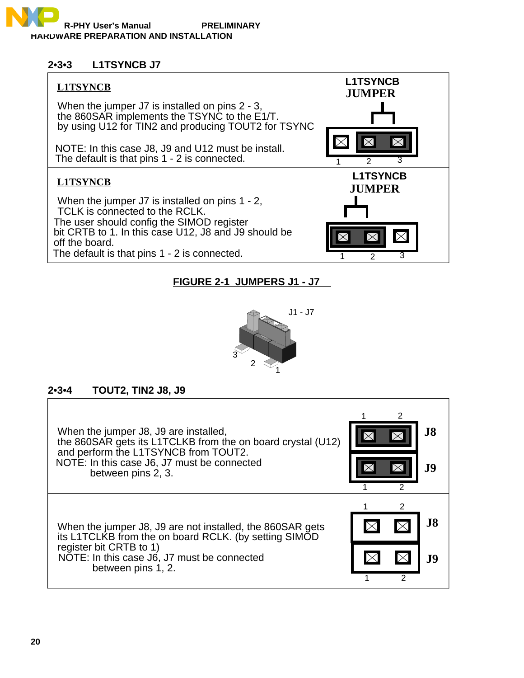# **2•3•3 L1TSYNCB J7**



# **FIGURE 2-1 JUMPERS J1 - J7**



# **2•3•4 TOUT2, TIN2 J8, J9**

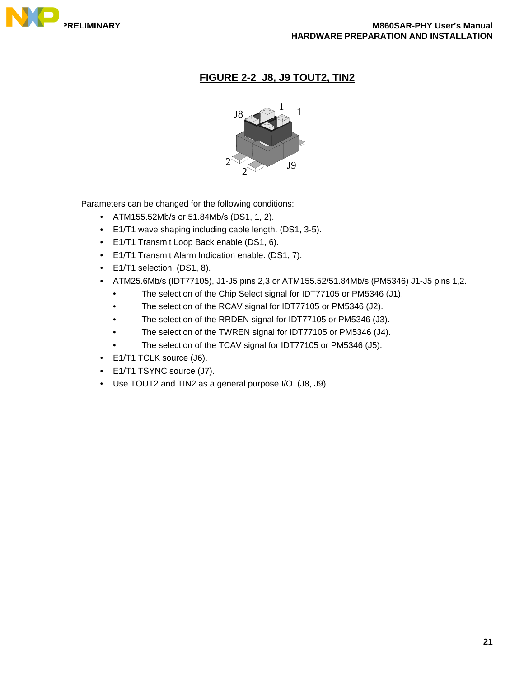

# **FIGURE 2-2 J8, J9 TOUT2, TIN2**



Parameters can be changed for the following conditions:

- ATM155.52Mb/s or 51.84Mb/s (DS1, 1, 2).
- E1/T1 wave shaping including cable length. (DS1, 3-5).
- E1/T1 Transmit Loop Back enable (DS1, 6).
- E1/T1 Transmit Alarm Indication enable. (DS1, 7).
- E1/T1 selection. (DS1, 8).
- ATM25.6Mb/s (IDT77105), J1-J5 pins 2,3 or ATM155.52/51.84Mb/s (PM5346) J1-J5 pins 1,2.
	- The selection of the Chip Select signal for IDT77105 or PM5346 (J1).
	- The selection of the RCAV signal for IDT77105 or PM5346 (J2).
	- The selection of the RRDEN signal for IDT77105 or PM5346 (J3).
	- The selection of the TWREN signal for IDT77105 or PM5346 (J4).
	- The selection of the TCAV signal for IDT77105 or PM5346 (J5).
- E1/T1 TCLK source (J6).
- E1/T1 TSYNC source (J7).
- Use TOUT2 and TIN2 as a general purpose I/O. (J8, J9).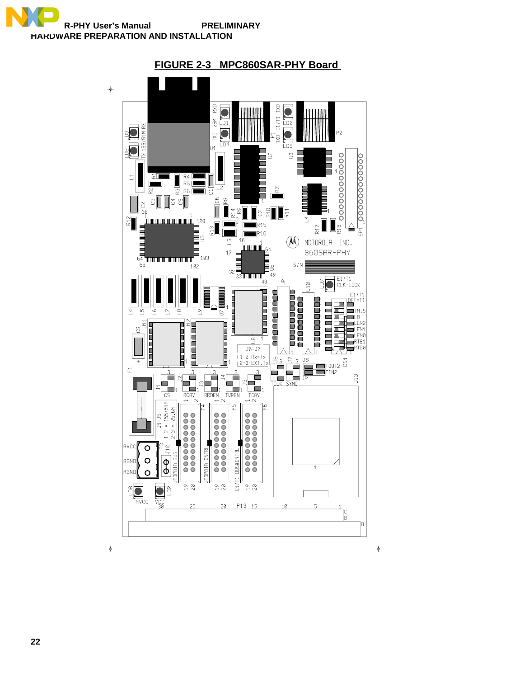**R-PHY User's Manual PRELIMINARY HARDWARE PREPARATION AND INSTALLATION**



**FIGURE 2-3 MPC860SAR-PHY Board** 

 $\rightarrow$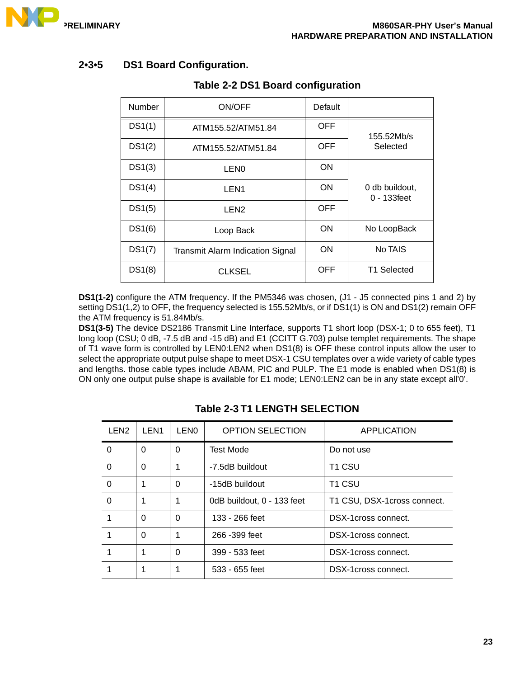

| $2 \cdot 3 \cdot 5$ | <b>DS1 Board Configuration.</b> |
|---------------------|---------------------------------|
|---------------------|---------------------------------|

| <b>Number</b> | ON/OFF                                  | Default    |                               |
|---------------|-----------------------------------------|------------|-------------------------------|
| DS1(1)        | ATM155.52/ATM51.84                      | <b>OFF</b> | 155.52Mb/s                    |
| DS1(2)        | ATM155.52/ATM51.84                      | <b>OFF</b> | Selected                      |
| DS1(3)        | LEN0                                    | ON         |                               |
| DS1(4)        | LEN1                                    | <b>ON</b>  | 0 db buildout,<br>0 - 133feet |
| DS1(5)        | LEN <sub>2</sub>                        | OFF        |                               |
| DS1(6)        | Loop Back                               | ON         | No LoopBack                   |
| DS1(7)        | <b>Transmit Alarm Indication Signal</b> | ON         | No TAIS                       |
| DS1(8)        | CLKSEL                                  | <b>OFF</b> | T1 Selected                   |

# **Table 2-2 DS1 Board configuration**

**DS1(1-2)** configure the ATM frequency. If the PM5346 was chosen, (J1 - J5 connected pins 1 and 2) by setting DS1(1,2) to OFF, the frequency selected is 155.52Mb/s, or if DS1(1) is ON and DS1(2) remain OFF the ATM frequency is 51.84Mb/s.

**DS1(3-5)** The device DS2186 Transmit Line Interface, supports T1 short loop (DSX-1; 0 to 655 feet), T1 long loop (CSU; 0 dB, -7.5 dB and -15 dB) and E1 (CCITT G.703) pulse templet requirements. The shape of T1 wave form is controlled by LEN0:LEN2 when DS1(8) is OFF these control inputs allow the user to select the appropriate output pulse shape to meet DSX-1 CSU templates over a wide variety of cable types and lengths. those cable types include ABAM, PIC and PULP. The E1 mode is enabled when DS1(8) is ON only one output pulse shape is available for E1 mode; LEN0:LEN2 can be in any state except all'0'.

| LEN <sub>2</sub> | LEN <sub>1</sub> | LEN <sub>0</sub> | <b>OPTION SELECTION</b>    | <b>APPLICATION</b>             |
|------------------|------------------|------------------|----------------------------|--------------------------------|
| $\Omega$         | 0                | $\Omega$         | <b>Test Mode</b>           | Do not use                     |
| $\Omega$         | 0                | 1                | -7.5dB buildout            | T <sub>1</sub> C <sub>SU</sub> |
| $\mathbf 0$      | 1                | $\Omega$         | -15dB buildout             | T <sub>1</sub> C <sub>SU</sub> |
| $\Omega$         |                  | 1                | 0dB buildout, 0 - 133 feet | T1 CSU, DSX-1cross connect.    |
| 1                | $\Omega$         | $\Omega$         | 133 - 266 feet             | DSX-1cross connect.            |
| 1                | $\Omega$         | 1                | 266 -399 feet              | DSX-1 cross connect.           |
|                  | 1                | $\Omega$         | 399 - 533 feet             | DSX-1 cross connect.           |
|                  | 1                |                  | 533 - 655 feet             | DSX-1 cross connect.           |

# **Table 2-3 T1 LENGTH SELECTION**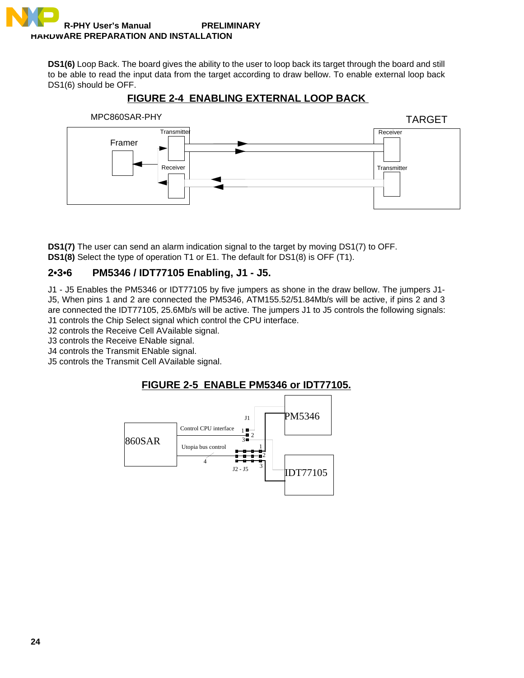

**DS1(6)** Loop Back. The board gives the ability to the user to loop back its target through the board and still to be able to read the input data from the target according to draw bellow. To enable external loop back DS1(6) should be OFF.



#### **FIGURE 2-4 ENABLING EXTERNAL LOOP BACK**

**DS1(7)** The user can send an alarm indication signal to the target by moving DS1(7) to OFF. **DS1(8)** Select the type of operation T1 or E1. The default for DS1(8) is OFF (T1).

#### **2•3•6 PM5346 / IDT77105 Enabling, J1 - J5.**

J1 - J5 Enables the PM5346 or IDT77105 by five jumpers as shone in the draw bellow. The jumpers J1- J5, When pins 1 and 2 are connected the PM5346, ATM155.52/51.84Mb/s will be active, if pins 2 and 3 are connected the IDT77105, 25.6Mb/s will be active. The jumpers J1 to J5 controls the following signals: J1 controls the Chip Select signal which control the CPU interface.

J2 controls the Receive Cell AVailable signal.

J3 controls the Receive ENable signal.

J4 controls the Transmit ENable signal.

J5 controls the Transmit Cell AVailable signal.

#### **FIGURE 2-5 ENABLE PM5346 or IDT77105.**

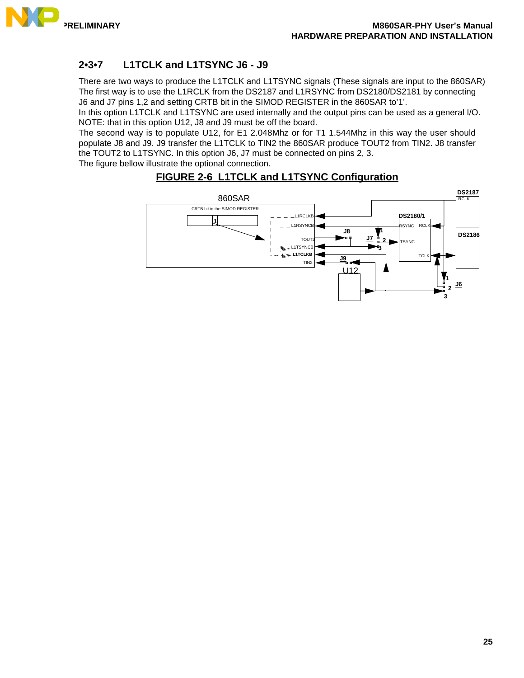

# **2•3•7 L1TCLK and L1TSYNC J6 - J9**

There are two ways to produce the L1TCLK and L1TSYNC signals (These signals are input to the 860SAR) The first way is to use the L1RCLK from the DS2187 and L1RSYNC from DS2180/DS2181 by connecting J6 and J7 pins 1,2 and setting CRTB bit in the SIMOD REGISTER in the 860SAR to'1'.

In this option L1TCLK and L1TSYNC are used internally and the output pins can be used as a general I/O. NOTE: that in this option U12, J8 and J9 must be off the board.

The second way is to populate U12, for E1 2.048Mhz or for T1 1.544Mhz in this way the user should populate J8 and J9. J9 transfer the L1TCLK to TIN2 the 860SAR produce TOUT2 from TIN2. J8 transfer the TOUT2 to L1TSYNC. In this option J6, J7 must be connected on pins 2, 3.

The figure bellow illustrate the optional connection.

#### **FIGURE 2-6 L1TCLK and L1TSYNC Configuration**

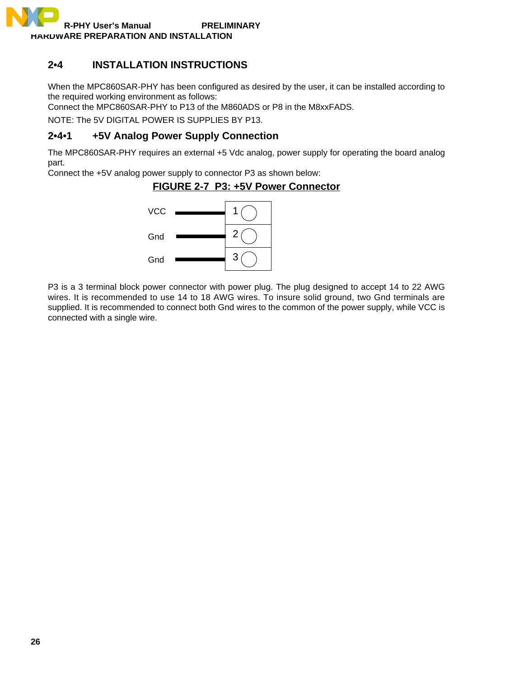

### **2•4 INSTALLATION INSTRUCTIONS**

When the MPC860SAR-PHY has been configured as desired by the user, it can be installed according to the required working environment as follows:

Connect the MPC860SAR-PHY to P13 of the M860ADS or P8 in the M8xxFADS.

NOTE: The 5V DIGITAL POWER IS SUPPLIES BY P13.

#### **2•4•1 +5V Analog Power Supply Connection**

The MPC860SAR-PHY requires an external +5 Vdc analog, power supply for operating the board analog part.

Connect the +5V analog power supply to connector P3 as shown below:

#### **FIGURE 2-7 P3: +5V Power Connector**



P3 is a 3 terminal block power connector with power plug. The plug designed to accept 14 to 22 AWG wires. It is recommended to use 14 to 18 AWG wires. To insure solid ground, two Gnd terminals are supplied. It is recommended to connect both Gnd wires to the common of the power supply, while VCC is connected with a single wire.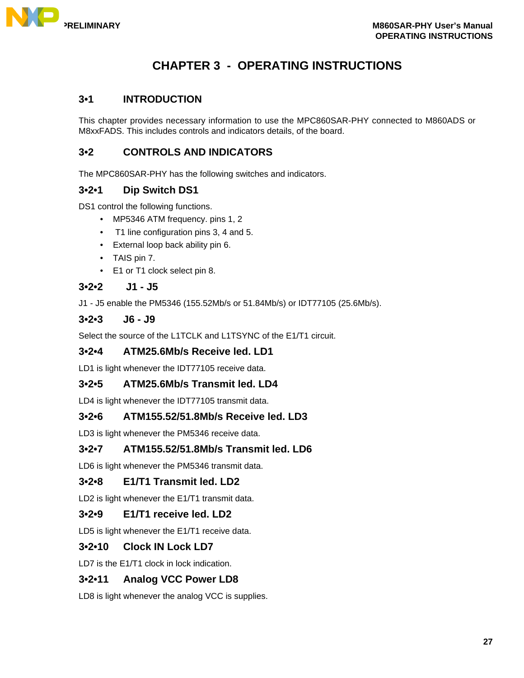

# **CHAPTER 3 - OPERATING INSTRUCTIONS**

# **3•1 INTRODUCTION**

This chapter provides necessary information to use the MPC860SAR-PHY connected to M860ADS or M8xxFADS. This includes controls and indicators details, of the board.

# **3•2 CONTROLS AND INDICATORS**

The MPC860SAR-PHY has the following switches and indicators.

#### **3•2•1 Dip Switch DS1**

DS1 control the following functions.

- MP5346 ATM frequency. pins 1, 2
- T1 line configuration pins 3, 4 and 5.
- External loop back ability pin 6.
- TAIS pin 7.
- E1 or T1 clock select pin 8.

# **3•2•2 J1 - J5**

J1 - J5 enable the PM5346 (155.52Mb/s or 51.84Mb/s) or IDT77105 (25.6Mb/s).

#### **3•2•3 J6 - J9**

Select the source of the L1TCLK and L1TSYNC of the E1/T1 circuit.

#### **3•2•4 ATM25.6Mb/s Receive led. LD1**

LD1 is light whenever the IDT77105 receive data.

#### **3•2•5 ATM25.6Mb/s Transmit led. LD4**

LD4 is light whenever the IDT77105 transmit data.

#### **3•2•6 ATM155.52/51.8Mb/s Receive led. LD3**

LD3 is light whenever the PM5346 receive data.

#### **3•2•7 ATM155.52/51.8Mb/s Transmit led. LD6**

LD6 is light whenever the PM5346 transmit data.

#### **3•2•8 E1/T1 Transmit led. LD2**

LD2 is light whenever the E1/T1 transmit data.

#### **3•2•9 E1/T1 receive led. LD2**

LD5 is light whenever the E1/T1 receive data.

#### **3•2•10 Clock IN Lock LD7**

LD7 is the E1/T1 clock in lock indication.

#### **3•2•11 Analog VCC Power LD8**

LD8 is light whenever the analog VCC is supplies.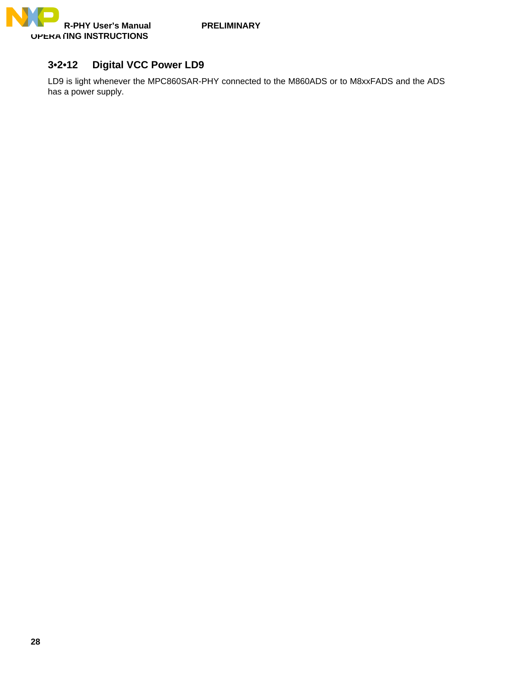

# **3•2•12 Digital VCC Power LD9**

LD9 is light whenever the MPC860SAR-PHY connected to the M860ADS or to M8xxFADS and the ADS has a power supply.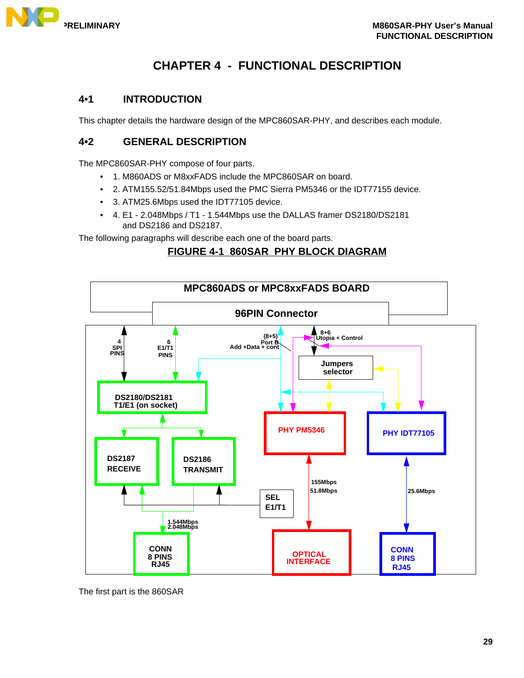

# **CHAPTER 4 - FUNCTIONAL DESCRIPTION**

# **4•1 INTRODUCTION**

This chapter details the hardware design of the MPC860SAR-PHY, and describes each module.

### **4•2 GENERAL DESCRIPTION**

The MPC860SAR-PHY compose of four parts.

- 1. M860ADS or M8xxFADS include the MPC860SAR on board.
- 2. ATM155.52/51.84Mbps used the PMC Sierra PM5346 or the IDT77155 device.
- 3. ATM25.6Mbps used the IDT77105 device.
- 4. E1 2.048Mbps / T1 1.544Mbps use the DALLAS framer DS2180/DS2181 and DS2186 and DS2187.

The following paragraphs will describe each one of the board parts.

#### **FIGURE 4-1 860SAR\_PHY BLOCK DIAGRAM**



The first part is the 860SAR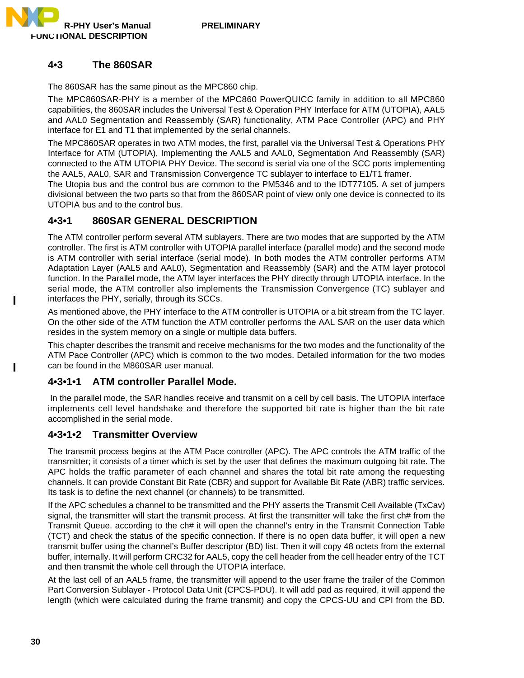

# **4•3 The 860SAR**

The 860SAR has the same pinout as the MPC860 chip.

The MPC860SAR-PHY is a member of the MPC860 PowerQUICC family in addition to all MPC860 capabilities, the 860SAR includes the Universal Test & Operation PHY Interface for ATM (UTOPIA), AAL5 and AAL0 Segmentation and Reassembly (SAR) functionality, ATM Pace Controller (APC) and PHY interface for E1 and T1 that implemented by the serial channels.

The MPC860SAR operates in two ATM modes, the first, parallel via the Universal Test & Operations PHY Interface for ATM (UTOPIA), Implementing the AAL5 and AAL0, Segmentation And Reassembly (SAR) connected to the ATM UTOPIA PHY Device. The second is serial via one of the SCC ports implementing the AAL5, AAL0, SAR and Transmission Convergence TC sublayer to interface to E1/T1 framer.

The Utopia bus and the control bus are common to the PM5346 and to the IDT77105. A set of jumpers divisional between the two parts so that from the 860SAR point of view only one device is connected to its UTOPIA bus and to the control bus.

#### **4•3•1 860SAR GENERAL DESCRIPTION**

The ATM controller perform several ATM sublayers. There are two modes that are supported by the ATM controller. The first is ATM controller with UTOPIA parallel interface (parallel mode) and the second mode is ATM controller with serial interface (serial mode). In both modes the ATM controller performs ATM Adaptation Layer (AAL5 and AAL0), Segmentation and Reassembly (SAR) and the ATM layer protocol function. In the Parallel mode, the ATM layer interfaces the PHY directly through UTOPIA interface. In the serial mode, the ATM controller also implements the Transmission Convergence (TC) sublayer and interfaces the PHY, serially, through its SCCs.

As mentioned above, the PHY interface to the ATM controller is UTOPIA or a bit stream from the TC layer. On the other side of the ATM function the ATM controller performs the AAL SAR on the user data which resides in the system memory on a single or multiple data buffers.

This chapter describes the transmit and receive mechanisms for the two modes and the functionality of the ATM Pace Controller (APC) which is common to the two modes. Detailed information for the two modes can be found in the M860SAR user manual.

#### **4•3•1•1 ATM controller Parallel Mode.**

 In the parallel mode, the SAR handles receive and transmit on a cell by cell basis. The UTOPIA interface implements cell level handshake and therefore the supported bit rate is higher than the bit rate accomplished in the serial mode.

#### **4•3•1•2 Transmitter Overview**

The transmit process begins at the ATM Pace controller (APC). The APC controls the ATM traffic of the transmitter; it consists of a timer which is set by the user that defines the maximum outgoing bit rate. The APC holds the traffic parameter of each channel and shares the total bit rate among the requesting channels. It can provide Constant Bit Rate (CBR) and support for Available Bit Rate (ABR) traffic services. Its task is to define the next channel (or channels) to be transmitted.

If the APC schedules a channel to be transmitted and the PHY asserts the Transmit Cell Available (TxCav) signal, the transmitter will start the transmit process. At first the transmitter will take the first ch# from the Transmit Queue. according to the ch# it will open the channel's entry in the Transmit Connection Table (TCT) and check the status of the specific connection. If there is no open data buffer, it will open a new transmit buffer using the channel's Buffer descriptor (BD) list. Then it will copy 48 octets from the external buffer, internally. It will perform CRC32 for AAL5, copy the cell header from the cell header entry of the TCT and then transmit the whole cell through the UTOPIA interface.

At the last cell of an AAL5 frame, the transmitter will append to the user frame the trailer of the Common Part Conversion Sublayer - Protocol Data Unit (CPCS-PDU). It will add pad as required, it will append the length (which were calculated during the frame transmit) and copy the CPCS-UU and CPI from the BD.

П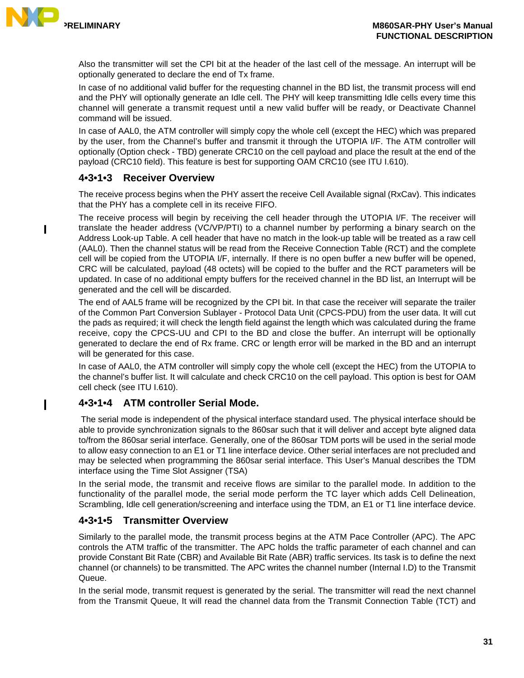

 $\blacksquare$ 

I

Also the transmitter will set the CPI bit at the header of the last cell of the message. An interrupt will be optionally generated to declare the end of Tx frame.

In case of no additional valid buffer for the requesting channel in the BD list, the transmit process will end and the PHY will optionally generate an Idle cell. The PHY will keep transmitting Idle cells every time this channel will generate a transmit request until a new valid buffer will be ready, or Deactivate Channel command will be issued.

In case of AAL0, the ATM controller will simply copy the whole cell (except the HEC) which was prepared by the user, from the Channel's buffer and transmit it through the UTOPIA I/F. The ATM controller will optionally (Option check - TBD) generate CRC10 on the cell payload and place the result at the end of the payload (CRC10 field). This feature is best for supporting OAM CRC10 (see ITU I.610).

# **4•3•1•3 Receiver Overview**

The receive process begins when the PHY assert the receive Cell Available signal (RxCav). This indicates that the PHY has a complete cell in its receive FIFO.

The receive process will begin by receiving the cell header through the UTOPIA I/F. The receiver will translate the header address (VC/VP/PTI) to a channel number by performing a binary search on the Address Look-up Table. A cell header that have no match in the look-up table will be treated as a raw cell (AAL0). Then the channel status will be read from the Receive Connection Table (RCT) and the complete cell will be copied from the UTOPIA I/F, internally. If there is no open buffer a new buffer will be opened, CRC will be calculated, payload (48 octets) will be copied to the buffer and the RCT parameters will be updated. In case of no additional empty buffers for the received channel in the BD list, an Interrupt will be generated and the cell will be discarded.

The end of AAL5 frame will be recognized by the CPI bit. In that case the receiver will separate the trailer of the Common Part Conversion Sublayer - Protocol Data Unit (CPCS-PDU) from the user data. It will cut the pads as required; it will check the length field against the length which was calculated during the frame receive, copy the CPCS-UU and CPI to the BD and close the buffer. An interrupt will be optionally generated to declare the end of Rx frame. CRC or length error will be marked in the BD and an interrupt will be generated for this case.

In case of AAL0, the ATM controller will simply copy the whole cell (except the HEC) from the UTOPIA to the channel's buffer list. It will calculate and check CRC10 on the cell payload. This option is best for OAM cell check (see ITU I.610).

#### **4•3•1•4 ATM controller Serial Mode.**

 The serial mode is independent of the physical interface standard used. The physical interface should be able to provide synchronization signals to the 860sar such that it will deliver and accept byte aligned data to/from the 860sar serial interface. Generally, one of the 860sar TDM ports will be used in the serial mode to allow easy connection to an E1 or T1 line interface device. Other serial interfaces are not precluded and may be selected when programming the 860sar serial interface. This User's Manual describes the TDM interface using the Time Slot Assigner (TSA)

In the serial mode, the transmit and receive flows are similar to the parallel mode. In addition to the functionality of the parallel mode, the serial mode perform the TC layer which adds Cell Delineation, Scrambling, Idle cell generation/screening and interface using the TDM, an E1 or T1 line interface device.

#### **4•3•1•5 Transmitter Overview**

Similarly to the parallel mode, the transmit process begins at the ATM Pace Controller (APC). The APC controls the ATM traffic of the transmitter. The APC holds the traffic parameter of each channel and can provide Constant Bit Rate (CBR) and Available Bit Rate (ABR) traffic services. Its task is to define the next channel (or channels) to be transmitted. The APC writes the channel number (Internal I.D) to the Transmit Queue.

In the serial mode, transmit request is generated by the serial. The transmitter will read the next channel from the Transmit Queue, It will read the channel data from the Transmit Connection Table (TCT) and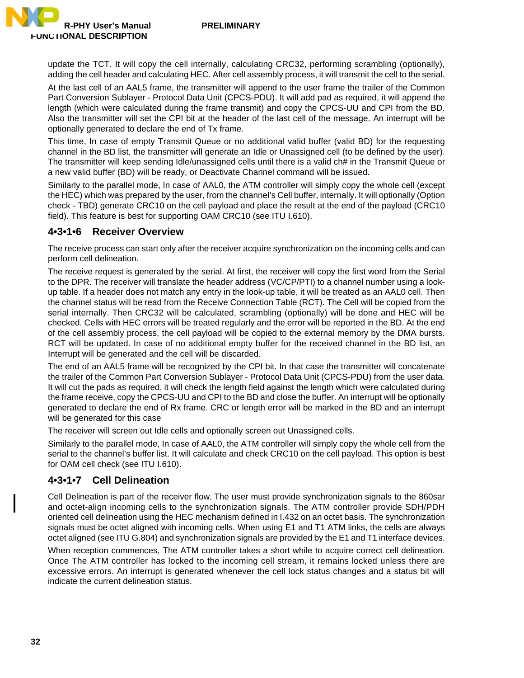

update the TCT. It will copy the cell internally, calculating CRC32, performing scrambling (optionally), adding the cell header and calculating HEC. After cell assembly process, it will transmit the cell to the serial.

At the last cell of an AAL5 frame, the transmitter will append to the user frame the trailer of the Common Part Conversion Sublayer - Protocol Data Unit (CPCS-PDU). It will add pad as required, it will append the length (which were calculated during the frame transmit) and copy the CPCS-UU and CPI from the BD. Also the transmitter will set the CPI bit at the header of the last cell of the message. An interrupt will be optionally generated to declare the end of Tx frame.

This time, In case of empty Transmit Queue or no additional valid buffer (valid BD) for the requesting channel in the BD list, the transmitter will generate an Idle or Unassigned cell (to be defined by the user). The transmitter will keep sending Idle/unassigned cells until there is a valid ch# in the Transmit Queue or a new valid buffer (BD) will be ready, or Deactivate Channel command will be issued.

Similarly to the parallel mode, In case of AAL0, the ATM controller will simply copy the whole cell (except the HEC) which was prepared by the user, from the channel's Cell buffer, internally. It will optionally (Option check - TBD) generate CRC10 on the cell payload and place the result at the end of the payload (CRC10 field). This feature is best for supporting OAM CRC10 (see ITU I.610).

#### **4•3•1•6 Receiver Overview**

The receive process can start only after the receiver acquire synchronization on the incoming cells and can perform cell delineation.

The receive request is generated by the serial. At first, the receiver will copy the first word from the Serial to the DPR. The receiver will translate the header address (VC/CP/PTI) to a channel number using a lookup table. If a header does not match any entry in the look-up table, it will be treated as an AAL0 cell. Then the channel status will be read from the Receive Connection Table (RCT). The Cell will be copied from the serial internally. Then CRC32 will be calculated, scrambling (optionally) will be done and HEC will be checked. Cells with HEC errors will be treated regularly and the error will be reported in the BD. At the end of the cell assembly process, the cell payload will be copied to the external memory by the DMA bursts. RCT will be updated. In case of no additional empty buffer for the received channel in the BD list, an Interrupt will be generated and the cell will be discarded.

The end of an AAL5 frame will be recognized by the CPI bit. In that case the transmitter will concatenate the trailer of the Common Part Conversion Sublayer - Protocol Data Unit (CPCS-PDU) from the user data. It will cut the pads as required, it will check the length field against the length which were calculated during the frame receive, copy the CPCS-UU and CPI to the BD and close the buffer. An interrupt will be optionally generated to declare the end of Rx frame. CRC or length error will be marked in the BD and an interrupt will be generated for this case

The receiver will screen out Idle cells and optionally screen out Unassigned cells.

Similarly to the parallel mode, In case of AAL0, the ATM controller will simply copy the whole cell from the serial to the channel's buffer list. It will calculate and check CRC10 on the cell payload. This option is best for OAM cell check (see ITU I.610).

#### **4•3•1•7 Cell Delineation**

Cell Delineation is part of the receiver flow. The user must provide synchronization signals to the 860sar and octet-align incoming cells to the synchronization signals. The ATM controller provide SDH/PDH oriented cell delineation using the HEC mechanism defined in I.432 on an octet basis. The synchronization signals must be octet aligned with incoming cells. When using E1 and T1 ATM links, the cells are always octet aligned (see ITU G.804) and synchronization signals are provided by the E1 and T1 interface devices.

When reception commences, The ATM controller takes a short while to acquire correct cell delineation. Once The ATM controller has locked to the incoming cell stream, it remains locked unless there are excessive errors. An interrupt is generated whenever the cell lock status changes and a status bit will indicate the current delineation status.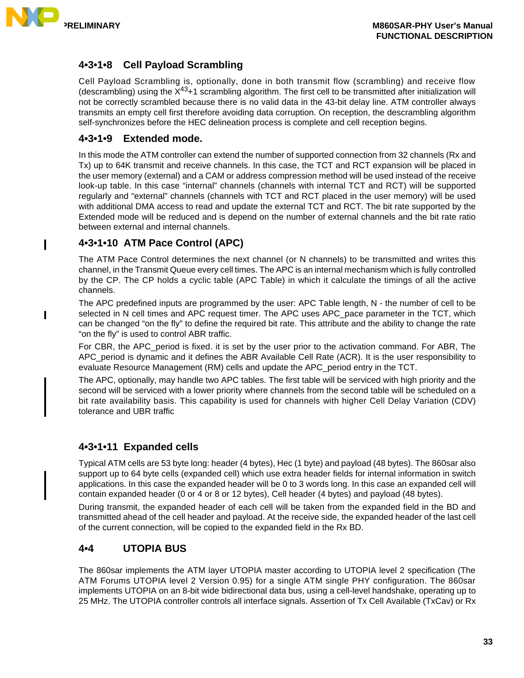

Ī

 $\mathbf I$ 

# **4•3•1•8 Cell Payload Scrambling**

Cell Payload Scrambling is, optionally, done in both transmit flow (scrambling) and receive flow (descrambling) using the  $X^{43}+1$  scrambling algorithm. The first cell to be transmitted after initialization will not be correctly scrambled because there is no valid data in the 43-bit delay line. ATM controller always transmits an empty cell first therefore avoiding data corruption. On reception, the descrambling algorithm self-synchronizes before the HEC delineation process is complete and cell reception begins.

#### **4•3•1•9 Extended mode.**

In this mode the ATM controller can extend the number of supported connection from 32 channels (Rx and Tx) up to 64K transmit and receive channels. In this case, the TCT and RCT expansion will be placed in the user memory (external) and a CAM or address compression method will be used instead of the receive look-up table. In this case "internal" channels (channels with internal TCT and RCT) will be supported regularly and "external" channels (channels with TCT and RCT placed in the user memory) will be used with additional DMA access to read and update the external TCT and RCT. The bit rate supported by the Extended mode will be reduced and is depend on the number of external channels and the bit rate ratio between external and internal channels.

# **4•3•1•10 ATM Pace Control (APC)**

The ATM Pace Control determines the next channel (or N channels) to be transmitted and writes this channel, in the Transmit Queue every cell times. The APC is an internal mechanism which is fully controlled by the CP. The CP holds a cyclic table (APC Table) in which it calculate the timings of all the active channels.

The APC predefined inputs are programmed by the user: APC Table length, N - the number of cell to be selected in N cell times and APC request timer. The APC uses APC pace parameter in the TCT, which can be changed "on the fly" to define the required bit rate. This attribute and the ability to change the rate "on the fly" is used to control ABR traffic.

For CBR, the APC\_period is fixed. it is set by the user prior to the activation command. For ABR, The APC period is dynamic and it defines the ABR Available Cell Rate (ACR). It is the user responsibility to evaluate Resource Management (RM) cells and update the APC\_period entry in the TCT.

The APC, optionally, may handle two APC tables. The first table will be serviced with high priority and the second will be serviced with a lower priority where channels from the second table will be scheduled on a bit rate availability basis. This capability is used for channels with higher Cell Delay Variation (CDV) tolerance and UBR traffic

#### **4•3•1•11 Expanded cells**

Typical ATM cells are 53 byte long: header (4 bytes), Hec (1 byte) and payload (48 bytes). The 860sar also support up to 64 byte cells (expanded cell) which use extra header fields for internal information in switch applications. In this case the expanded header will be 0 to 3 words long. In this case an expanded cell will contain expanded header (0 or 4 or 8 or 12 bytes), Cell header (4 bytes) and payload (48 bytes).

During transmit, the expanded header of each cell will be taken from the expanded field in the BD and transmitted ahead of the cell header and payload. At the receive side, the expanded header of the last cell of the current connection, will be copied to the expanded field in the Rx BD.

#### **4•4 UTOPIA BUS**

The 860sar implements the ATM layer UTOPIA master according to UTOPIA level 2 specification (The ATM Forums UTOPIA level 2 Version 0.95) for a single ATM single PHY configuration. The 860sar implements UTOPIA on an 8-bit wide bidirectional data bus, using a cell-level handshake, operating up to 25 MHz. The UTOPIA controller controls all interface signals. Assertion of Tx Cell Available (TxCav) or Rx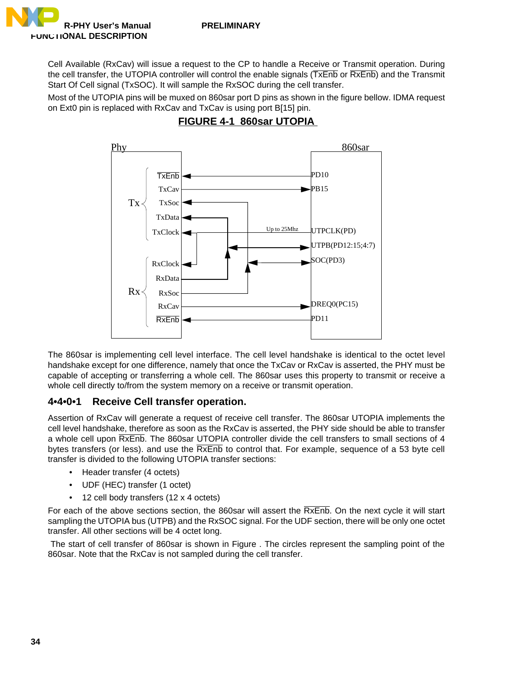

Cell Available (RxCav) will issue a request to the CP to handle a Receive or Transmit operation. During the cell transfer, the UTOPIA controller will control the enable signals (TxEnb or RxEnb) and the Transmit Start Of Cell signal (TxSOC). It will sample the RxSOC during the cell transfer.

Most of the UTOPIA pins will be muxed on 860sar port D pins as shown in the figure bellow. IDMA request on Ext0 pin is replaced with RxCav and TxCav is using port B[15] pin.



# **FIGURE 4-1 860sar UTOPIA**

The 860sar is implementing cell level interface. The cell level handshake is identical to the octet level handshake except for one difference, namely that once the TxCav or RxCav is asserted, the PHY must be capable of accepting or transferring a whole cell. The 860sar uses this property to transmit or receive a whole cell directly to/from the system memory on a receive or transmit operation.

#### **4•4•0•1 Receive Cell transfer operation.**

Assertion of RxCav will generate a request of receive cell transfer. The 860sar UTOPIA implements the cell level handshake, therefore as soon as the RxCav is asserted, the PHY side should be able to transfer a whole cell upon RxEnb. The 860sar UTOPIA controller divide the cell transfers to small sections of 4 bytes transfers (or less). and use the  $\overline{RxEmb}$  to control that. For example, sequence of a 53 byte cell transfer is divided to the following UTOPIA transfer sections:

- Header transfer (4 octets)
- UDF (HEC) transfer (1 octet)
- 12 cell body transfers (12 x 4 octets)

For each of the above sections section, the 860sar will assert the RxEnb. On the next cycle it will start sampling the UTOPIA bus (UTPB) and the RxSOC signal. For the UDF section, there will be only one octet transfer. All other sections will be 4 octet long.

The start of cell transfer of 860sar is shown in Figure . The circles represent the sampling point of the 860sar. Note that the RxCav is not sampled during the cell transfer.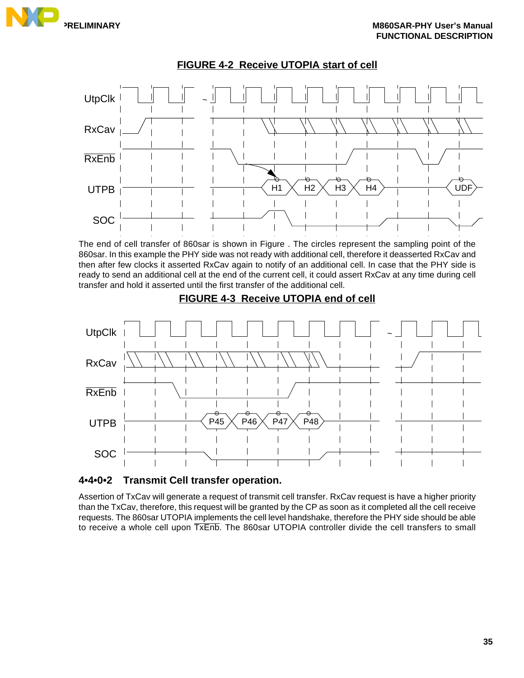



# **FIGURE 4-2 Receive UTOPIA start of cell**

The end of cell transfer of 860sar is shown in Figure . The circles represent the sampling point of the 860sar. In this example the PHY side was not ready with additional cell, therefore it deasserted RxCav and then after few clocks it asserted RxCav again to notify of an additional cell. In case that the PHY side is ready to send an additional cell at the end of the current cell, it could assert RxCav at any time during cell transfer and hold it asserted until the first transfer of the additional cell.



#### **FIGURE 4-3 Receive UTOPIA end of cell**

#### **4•4•0•2 Transmit Cell transfer operation.**

Assertion of TxCav will generate a request of transmit cell transfer. RxCav request is have a higher priority than the TxCav, therefore, this request will be granted by the CP as soon as it completed all the cell receive requests. The 860sar UTOPIA implements the cell level handshake, therefore the PHY side should be able to receive a whole cell upon TxEnb. The 860sar UTOPIA controller divide the cell transfers to small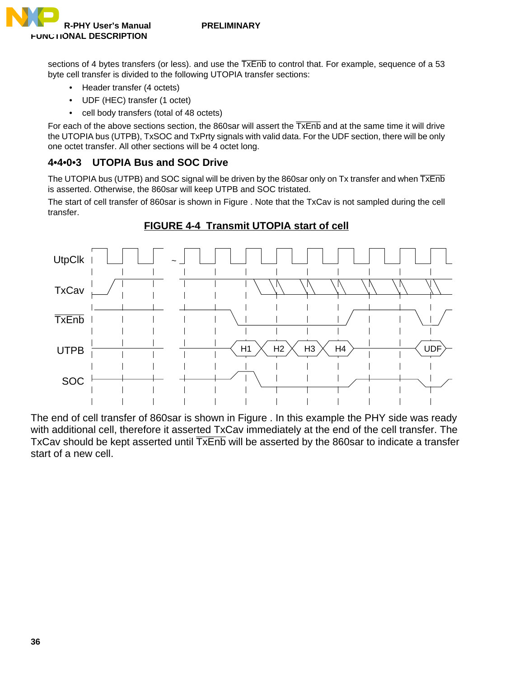

sections of 4 bytes transfers (or less). and use the  $\overline{TxEnb}$  to control that. For example, sequence of a 53 byte cell transfer is divided to the following UTOPIA transfer sections:

- Header transfer (4 octets)
- UDF (HEC) transfer (1 octet)
- cell body transfers (total of 48 octets)

For each of the above sections section, the 860sar will assert the  $\overline{\text{Tx}}$  and at the same time it will drive the UTOPIA bus (UTPB), TxSOC and TxPrty signals with valid data. For the UDF section, there will be only one octet transfer. All other sections will be 4 octet long.

#### **4•4•0•3 UTOPIA Bus and SOC Drive**

The UTOPIA bus (UTPB) and SOC signal will be driven by the 860sar only on Tx transfer and when TxEnb is asserted. Otherwise, the 860sar will keep UTPB and SOC tristated.

The start of cell transfer of 860sar is shown in Figure . Note that the TxCav is not sampled during the cell transfer.



#### **FIGURE 4-4 Transmit UTOPIA start of cell**

The end of cell transfer of 860sar is shown in Figure . In this example the PHY side was ready with additional cell, therefore it asserted TxCav immediately at the end of the cell transfer. The TxCav should be kept asserted until TxEnb will be asserted by the 860sar to indicate a transfer start of a new cell.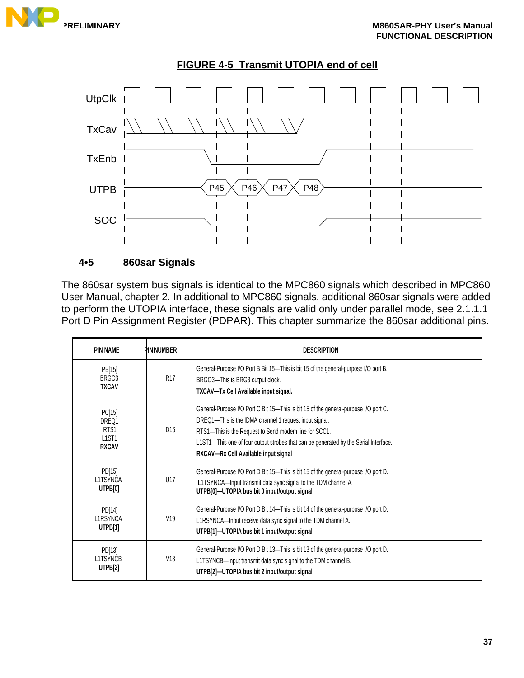



# **FIGURE 4-5 Transmit UTOPIA end of cell**

# **4•5 860sar Signals**

The 860sar system bus signals is identical to the MPC860 signals which described in MPC860 User Manual, chapter 2. In additional to MPC860 signals, additional 860sar signals were added to perform the UTOPIA interface, these signals are valid only under parallel mode, see 2.1.1.1 Port D Pin Assignment Register (PDPAR). This chapter summarize the 860sar additional pins.

| <b>PIN NAME</b>                                                                       | <b>PIN NUMBER</b> | <b>DESCRIPTION</b>                                                                                                                                                                                                                                                                                                                     |
|---------------------------------------------------------------------------------------|-------------------|----------------------------------------------------------------------------------------------------------------------------------------------------------------------------------------------------------------------------------------------------------------------------------------------------------------------------------------|
| PB[15]<br>BRGO <sub>3</sub><br><b>TXCAV</b>                                           | <b>R17</b>        | General-Purpose I/O Port B Bit 15-This is bit 15 of the general-purpose I/O port B.<br>BRGO3-This is BRG3 output clock.<br>TXCAV-Tx Cell Available input signal.                                                                                                                                                                       |
| PC[15]<br>DREQ1<br>RTS <sub>1</sub><br>L <sub>1</sub> ST <sub>1</sub><br><b>RXCAV</b> | D <sub>16</sub>   | General-Purpose I/O Port C Bit 15-This is bit 15 of the general-purpose I/O port C.<br>DREQ1-This is the IDMA channel 1 request input signal.<br>RTS1—This is the Request to Send modem line for SCC1.<br>L1ST1—This one of four output strobes that can be generated by the Serial Interface.<br>RXCAV-Rx Cell Available input signal |
| PD[15]<br><b>L1TSYNCA</b><br>UTPB[0]                                                  | U17               | General-Purpose I/O Port D Bit 15-This is bit 15 of the general-purpose I/O port D.<br>L1TSYNCA-Input transmit data sync signal to the TDM channel A.<br>UTPB[0]-UTOPIA bus bit 0 input/output signal.                                                                                                                                 |
| PD[14]<br>L1RSYNCA<br>UTPB[1]                                                         | V19               | General-Purpose I/O Port D Bit 14-This is bit 14 of the general-purpose I/O port D.<br>L1RSYNCA-Input receive data sync signal to the TDM channel A.<br>UTPB[1]-UTOPIA bus bit 1 input/output signal.                                                                                                                                  |
| PD[13]<br><b>L1TSYNCB</b><br><b>UTPB[2]</b>                                           | V18               | General-Purpose I/O Port D Bit 13-This is bit 13 of the general-purpose I/O port D.<br>L1TSYNCB-lnput transmit data sync signal to the TDM channel B.<br>UTPB[2]-UTOPIA bus bit 2 input/output signal.                                                                                                                                 |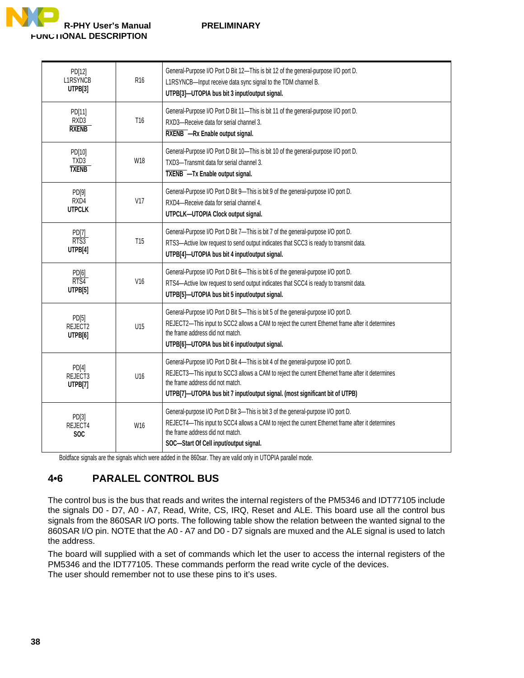

| PD[12]<br>L1RSYNCB<br>UTPB[3]         | R <sub>16</sub> | General-Purpose I/O Port D Bit 12-This is bit 12 of the general-purpose I/O port D.<br>L1RSYNCB-Input receive data sync signal to the TDM channel B.<br>UTPB[3]-UTOPIA bus bit 3 input/output signal.                                                                                                     |
|---------------------------------------|-----------------|-----------------------------------------------------------------------------------------------------------------------------------------------------------------------------------------------------------------------------------------------------------------------------------------------------------|
| PD[11]<br>RXD3<br><b>RXENB</b>        | T <sub>16</sub> | General-Purpose I/O Port D Bit 11-This is bit 11 of the general-purpose I/O port D.<br>RXD3-Receive data for serial channel 3.<br>RXENB - Rx Enable output signal.                                                                                                                                        |
| PD[10]<br>TXD3<br><b>TXENB</b>        | W18             | General-Purpose I/O Port D Bit 10-This is bit 10 of the general-purpose I/O port D.<br>TXD3-Transmit data for serial channel 3.<br>TXENB - Tx Enable output signal.                                                                                                                                       |
| PD[9]<br>RXD4<br>utpclk               | V17             | General-Purpose I/O Port D Bit 9-This is bit 9 of the general-purpose I/O port D.<br>RXD4-Receive data for serial channel 4.<br>UTPCLK-UTOPIA Clock output signal.                                                                                                                                        |
| PD[7]<br>RTS3<br>UTPB[4]              | T <sub>15</sub> | General-Purpose I/O Port D Bit 7-This is bit 7 of the general-purpose I/O port D.<br>RTS3-Active low request to send output indicates that SCC3 is ready to transmit data.<br>UTPB[4]-UTOPIA bus bit 4 input/output signal.                                                                               |
| PD[6]<br>$RT\overline{S4}$<br>UTPB[5] | V16             | General-Purpose I/O Port D Bit 6-This is bit 6 of the general-purpose I/O port D.<br>RTS4-Active low request to send output indicates that SCC4 is ready to transmit data.<br>UTPB[5]-UTOPIA bus bit 5 input/output signal.                                                                               |
| PD[5]<br>REJECT2<br>UTPB[6]           | U15             | General-Purpose I/O Port D Bit 5-This is bit 5 of the general-purpose I/O port D.<br>REJECT2-This input to SCC2 allows a CAM to reject the current Ethernet frame after it determines<br>the frame address did not match.<br>UTPB[6]-UTOPIA bus bit 6 input/output signal.                                |
| PD[4]<br>REJECT3<br>UTPB[7]           | U <sub>16</sub> | General-Purpose I/O Port D Bit 4-This is bit 4 of the general-purpose I/O port D.<br>REJECT3-This input to SCC3 allows a CAM to reject the current Ethernet frame after it determines<br>the frame address did not match.<br>UTPB[7]-UTOPIA bus bit 7 input/output signal. (most significant bit of UTPB) |
| PD[3]<br>REJECT4<br><b>SOC</b>        | W16             | General-purpose I/O Port D Bit 3-This is bit 3 of the general-purpose I/O port D.<br>REJECT4-This input to SCC4 allows a CAM to reject the current Ethernet frame after it determines<br>the frame address did not match.<br>SOC-Start Of Cell input/output signal.                                       |

Boldface signals are the signals which were added in the 860sar. They are valid only in UTOPIA parallel mode.

# **4•6 PARALEL CONTROL BUS**

The control bus is the bus that reads and writes the internal registers of the PM5346 and IDT77105 include the signals D0 - D7, A0 - A7, Read, Write, CS, IRQ, Reset and ALE. This board use all the control bus signals from the 860SAR I/O ports. The following table show the relation between the wanted signal to the 860SAR I/O pin. NOTE that the A0 - A7 and D0 - D7 signals are muxed and the ALE signal is used to latch the address.

The board will supplied with a set of commands which let the user to access the internal registers of the PM5346 and the IDT77105. These commands perform the read write cycle of the devices. The user should remember not to use these pins to it's uses.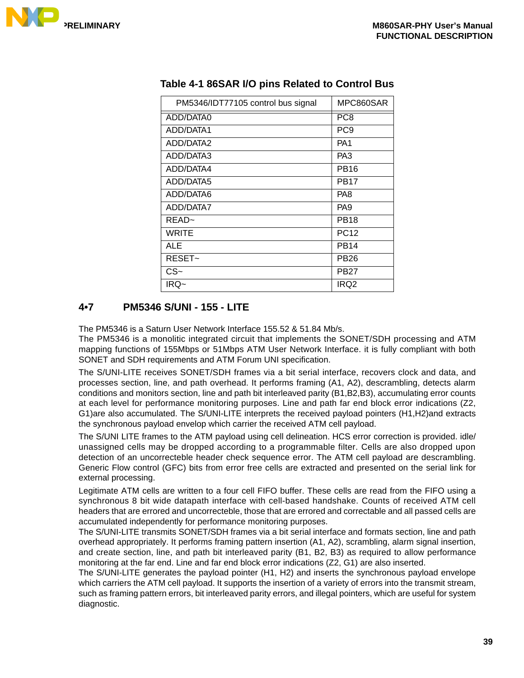

| PM5346/IDT77105 control bus signal | MPC860SAR        |
|------------------------------------|------------------|
| ADD/DATA0                          | PC <sub>8</sub>  |
| ADD/DATA1                          | PC <sub>9</sub>  |
| ADD/DATA2                          | PA <sub>1</sub>  |
| ADD/DATA3                          | PA3              |
| ADD/DATA4                          | <b>PB16</b>      |
| ADD/DATA5                          | <b>PB17</b>      |
| ADD/DATA6                          | PA <sub>8</sub>  |
| ADD/DATA7                          | PA <sub>9</sub>  |
| READ~                              | <b>PB18</b>      |
| WRITE                              | <b>PC12</b>      |
| ALE                                | <b>PB14</b>      |
| RESET~                             | PB26             |
| CS~                                | <b>PB27</b>      |
| IRQ~                               | IRQ <sub>2</sub> |

### **Table 4-1 86SAR I/O pins Related to Control Bus**

#### **4•7 PM5346 S/UNI - 155 - LITE**

The PM5346 is a Saturn User Network Interface 155.52 & 51.84 Mb/s.

The PM5346 is a monolitic integrated circuit that implements the SONET/SDH processing and ATM mapping functions of 155Mbps or 51Mbps ATM User Network Interface. it is fully compliant with both SONET and SDH requirements and ATM Forum UNI specification.

The S/UNI-LITE receives SONET/SDH frames via a bit serial interface, recovers clock and data, and processes section, line, and path overhead. It performs framing (A1, A2), descrambling, detects alarm conditions and monitors section, line and path bit interleaved parity (B1,B2,B3), accumulating error counts at each level for performance monitoring purposes. Line and path far end block error indications (Z2, G1)are also accumulated. The S/UNI-LITE interprets the received payload pointers (H1,H2)and extracts the synchronous payload envelop which carrier the received ATM cell payload.

The S/UNI LITE frames to the ATM payload using cell delineation. HCS error correction is provided. idle/ unassigned cells may be dropped according to a programmable filter. Cells are also dropped upon detection of an uncorrecteble header check sequence error. The ATM cell payload are descrambling. Generic Flow control (GFC) bits from error free cells are extracted and presented on the serial link for external processing.

Legitimate ATM cells are written to a four cell FIFO buffer. These cells are read from the FIFO using a synchronous 8 bit wide datapath interface with cell-based handshake. Counts of received ATM cell headers that are errored and uncorrecteble, those that are errored and correctable and all passed cells are accumulated independently for performance monitoring purposes.

The S/UNI-LITE transmits SONET/SDH frames via a bit serial interface and formats section, line and path overhead appropriately. It performs framing pattern insertion (A1, A2), scrambling, alarm signal insertion, and create section, line, and path bit interleaved parity (B1, B2, B3) as required to allow performance monitoring at the far end. Line and far end block error indications (Z2, G1) are also inserted.

The S/UNI-LITE generates the payload pointer (H1, H2) and inserts the synchronous payload envelope which carriers the ATM cell payload. It supports the insertion of a variety of errors into the transmit stream, such as framing pattern errors, bit interleaved parity errors, and illegal pointers, which are useful for system diagnostic.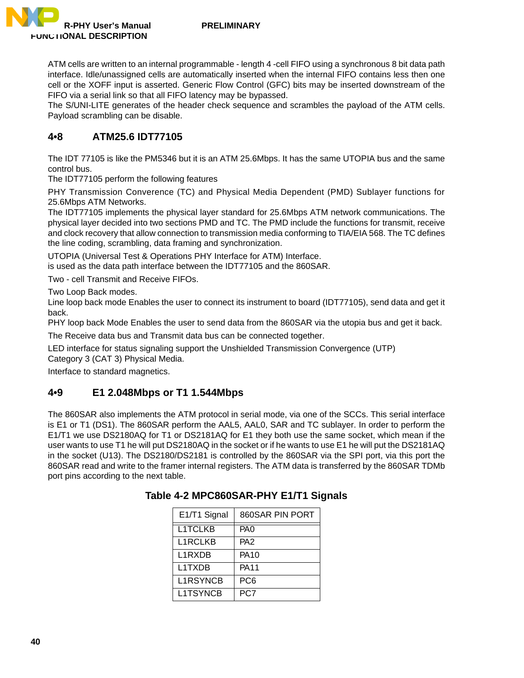

ATM cells are written to an internal programmable - length 4 -cell FIFO using a synchronous 8 bit data path interface. Idle/unassigned cells are automatically inserted when the internal FIFO contains less then one cell or the XOFF input is asserted. Generic Flow Control (GFC) bits may be inserted downstream of the FIFO via a serial link so that all FIFO latency may be bypassed.

The S/UNI-LITE generates of the header check sequence and scrambles the payload of the ATM cells. Payload scrambling can be disable.

#### **4•8 ATM25.6 IDT77105**

The IDT 77105 is like the PM5346 but it is an ATM 25.6Mbps. It has the same UTOPIA bus and the same control bus.

The IDT77105 perform the following features

PHY Transmission Converence (TC) and Physical Media Dependent (PMD) Sublayer functions for 25.6Mbps ATM Networks.

The IDT77105 implements the physical layer standard for 25.6Mbps ATM network communications. The physical layer decided into two sections PMD and TC. The PMD include the functions for transmit, receive and clock recovery that allow connection to transmission media conforming to TIA/EIA 568. The TC defines the line coding, scrambling, data framing and synchronization.

UTOPIA (Universal Test & Operations PHY Interface for ATM) Interface.

is used as the data path interface between the IDT77105 and the 860SAR.

Two - cell Transmit and Receive FIFOs.

Two Loop Back modes.

Line loop back mode Enables the user to connect its instrument to board (IDT77105), send data and get it back.

PHY loop back Mode Enables the user to send data from the 860SAR via the utopia bus and get it back.

The Receive data bus and Transmit data bus can be connected together.

LED interface for status signaling support the Unshielded Transmission Convergence (UTP) Category 3 (CAT 3) Physical Media.

Interface to standard magnetics.

#### **4•9 E1 2.048Mbps or T1 1.544Mbps**

The 860SAR also implements the ATM protocol in serial mode, via one of the SCCs. This serial interface is E1 or T1 (DS1). The 860SAR perform the AAL5, AAL0, SAR and TC sublayer. In order to perform the E1/T1 we use DS2180AQ for T1 or DS2181AQ for E1 they both use the same socket, which mean if the user wants to use T1 he will put DS2180AQ in the socket or if he wants to use E1 he will put the DS2181AQ in the socket (U13). The DS2180/DS2181 is controlled by the 860SAR via the SPI port, via this port the 860SAR read and write to the framer internal registers. The ATM data is transferred by the 860SAR TDMb port pins according to the next table.

| E1/T1 Signal    | 860SAR PIN PORT |
|-----------------|-----------------|
| <b>L1TCLKB</b>  | PA <sub>0</sub> |
| <b>L1RCLKB</b>  | PA <sub>2</sub> |
| L1RXDB          | <b>PA10</b>     |
| L1TXDB          | <b>PA11</b>     |
| <b>L1RSYNCB</b> | PC <sub>6</sub> |
| <b>L1TSYNCB</b> | PC <sub>7</sub> |

**Table 4-2 MPC860SAR-PHY E1/T1 Signals**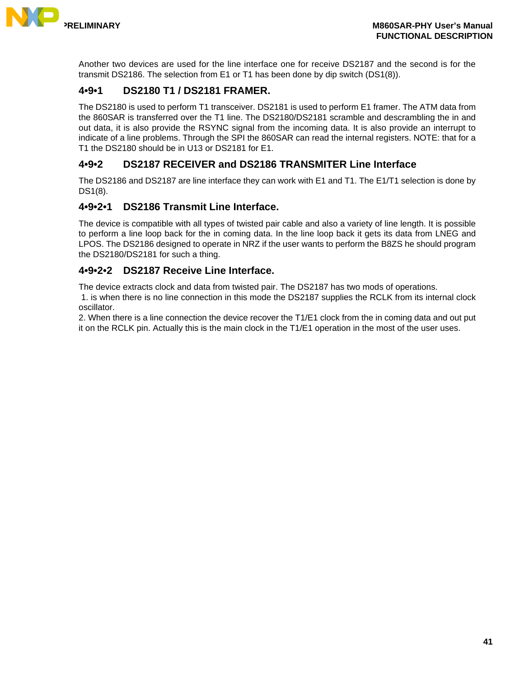

Another two devices are used for the line interface one for receive DS2187 and the second is for the transmit DS2186. The selection from E1 or T1 has been done by dip switch (DS1(8)).

# **4•9•1 DS2180 T1 / DS2181 FRAMER.**

The DS2180 is used to perform T1 transceiver. DS2181 is used to perform E1 framer. The ATM data from the 860SAR is transferred over the T1 line. The DS2180/DS2181 scramble and descrambling the in and out data, it is also provide the RSYNC signal from the incoming data. It is also provide an interrupt to indicate of a line problems. Through the SPI the 860SAR can read the internal registers. NOTE: that for a T1 the DS2180 should be in U13 or DS2181 for E1.

### **4•9•2 DS2187 RECEIVER and DS2186 TRANSMITER Line Interface**

The DS2186 and DS2187 are line interface they can work with E1 and T1. The E1/T1 selection is done by DS1(8).

#### **4•9•2•1 DS2186 Transmit Line Interface.**

The device is compatible with all types of twisted pair cable and also a variety of line length. It is possible to perform a line loop back for the in coming data. In the line loop back it gets its data from LNEG and LPOS. The DS2186 designed to operate in NRZ if the user wants to perform the B8ZS he should program the DS2180/DS2181 for such a thing.

#### **4•9•2•2 DS2187 Receive Line Interface.**

The device extracts clock and data from twisted pair. The DS2187 has two mods of operations. 1. is when there is no line connection in this mode the DS2187 supplies the RCLK from its internal clock oscillator.

2. When there is a line connection the device recover the T1/E1 clock from the in coming data and out put it on the RCLK pin. Actually this is the main clock in the T1/E1 operation in the most of the user uses.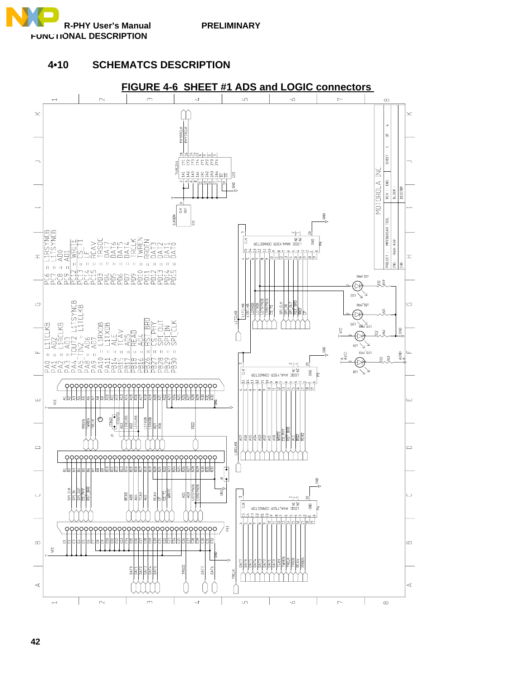



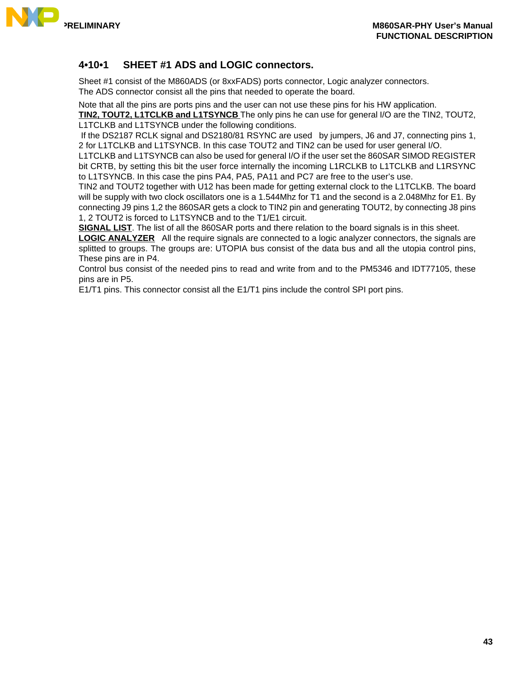

### **4•10•1 SHEET #1 ADS and LOGIC connectors.**

Sheet #1 consist of the M860ADS (or 8xxFADS) ports connector, Logic analyzer connectors. The ADS connector consist all the pins that needed to operate the board.

Note that all the pins are ports pins and the user can not use these pins for his HW application.

**TIN2, TOUT2, L1TCLKB and L1TSYNCB** The only pins he can use for general I/O are the TIN2, TOUT2, L1TCLKB and L1TSYNCB under the following conditions.

 If the DS2187 RCLK signal and DS2180/81 RSYNC are used by jumpers, J6 and J7, connecting pins 1, 2 for L1TCLKB and L1TSYNCB. In this case TOUT2 and TIN2 can be used for user general I/O.

L1TCLKB and L1TSYNCB can also be used for general I/O if the user set the 860SAR SIMOD REGISTER bit CRTB, by setting this bit the user force internally the incoming L1RCLKB to L1TCLKB and L1RSYNC to L1TSYNCB. In this case the pins PA4, PA5, PA11 and PC7 are free to the user's use.

TIN2 and TOUT2 together with U12 has been made for getting external clock to the L1TCLKB. The board will be supply with two clock oscillators one is a 1.544Mhz for T1 and the second is a 2.048Mhz for E1. By connecting J9 pins 1,2 the 860SAR gets a clock to TIN2 pin and generating TOUT2, by connecting J8 pins 1, 2 TOUT2 is forced to L1TSYNCB and to the T1/E1 circuit.

**SIGNAL LIST**. The list of all the 860SAR ports and there relation to the board signals is in this sheet.

**LOGIC ANALYZER** All the require signals are connected to a logic analyzer connectors, the signals are splitted to groups. The groups are: UTOPIA bus consist of the data bus and all the utopia control pins, These pins are in P4.

Control bus consist of the needed pins to read and write from and to the PM5346 and IDT77105, these pins are in P5.

E1/T1 pins. This connector consist all the E1/T1 pins include the control SPI port pins.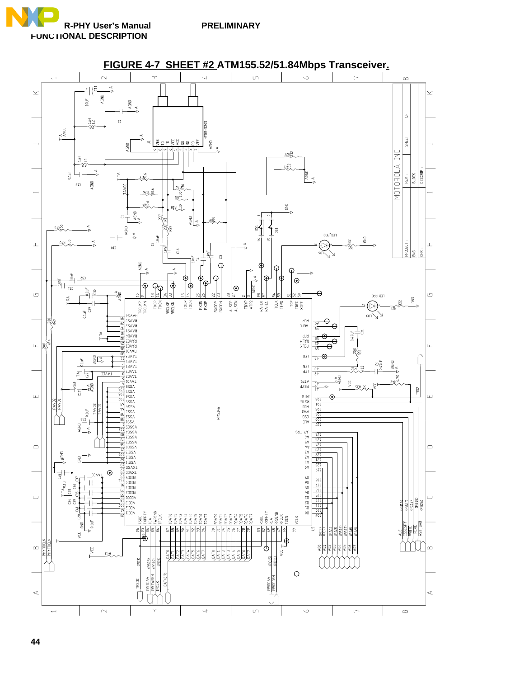

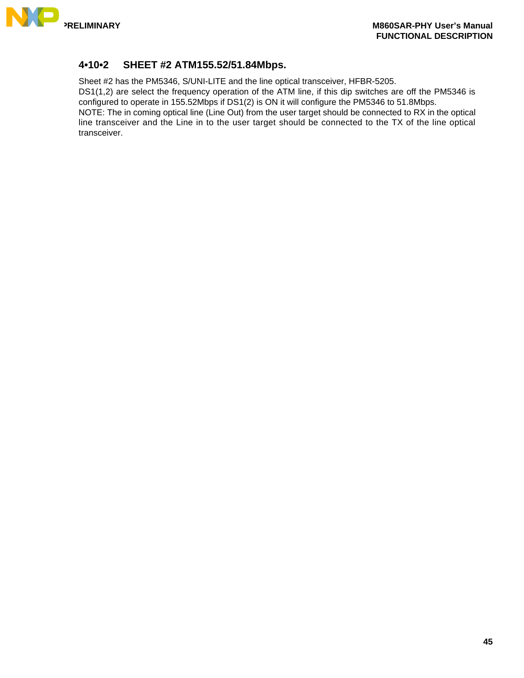

# **4•10•2 SHEET #2 ATM155.52/51.84Mbps.**

Sheet #2 has the PM5346, S/UNI-LITE and the line optical transceiver, HFBR-5205. DS1(1,2) are select the frequency operation of the ATM line, if this dip switches are off the PM5346 is configured to operate in 155.52Mbps if DS1(2) is ON it will configure the PM5346 to 51.8Mbps. NOTE: The in coming optical line (Line Out) from the user target should be connected to RX in the optical line transceiver and the Line in to the user target should be connected to the TX of the line optical transceiver.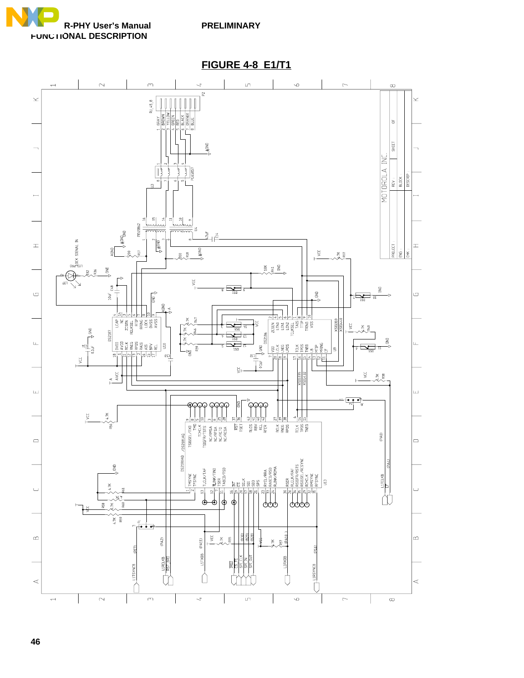

**FIGURE 4-8 E1/T1** $\overline{a}$  $\overline{m}$  $\mathbf{H}$  $\infty$  $\overline{\phantom{0}}$  $\sim$  $\infty$  $\mathbf{S}$  $\geq$ ๔  $RJ_45.8$  $\mathbb I$ GRAY<br>BROWN<br>YELLOW<br>RED<br>BLACK<br>BLACK SHET **B**  $\overline{\phantom{0}}$ **E** MOTOROLA 3 E65857  $\begin{tabular}{|c|c|} \hline & \multicolumn{3}{|c|}{\text{REV}} \\\hline \multicolumn{3}{|c|}{\text{REV}} \\\hline \multicolumn{3}{|c|}{\text{BLOK}} \\\hline \end{tabular}$ ᅨ  $\frac{15}{2}$  $\mathfrak{p}$ Ξ 획  $\frac{1}{2}$  $\pm$ SIGNAL AGND 륅  $\delta$  $\overline{H}$ χu  $\frac{200}{200}$  $\sum_{n=1}^{\infty}$ Íюск  $rac{8}{26}$   $rac{8}{6}$  $rac{1}{2}$  $\frac{1}{\sqrt{2}}$ γĽ  $\leq$   $\geq$  $\frac{1}{\sqrt{2}}$  $\cup$ awo ں| टर्क k  $\begin{array}{c}\n\begin{array}{c}\n\searrow n \quad \searrow n \\
\searrow n \quad \searrow n \\
\end{array}\n\end{array}$ 하하  $\begin{array}{c}\n\hline\n\text{LCAR} \\
\text{NCER} \\
\text{CCER} \\
\text{NCER}\n\end{array}$ **SERVERS**<br>SERVERS XSIG310<br>XSIG440 ķΕ **LE** ਜ਼ਿ  $\overline{\pi}$ i X<br>XX  $\frac{1}{2}$  GND<br>DS2186 JS2187  $\frac{1}{50}$  $\frac{1}{2}$  GND  $\bar{u}$ 서하하다<br>사랑 프랑스<br><mark>사</mark>하라다 **BERE EEE**<br>EEE gee ៍ខ្ល  $\overline{\phantom{a}}$ łę  $\mathbf{S}$ yμ ا<br>المادة ξı  $\mathcal{L}^{\mathbf{A}}_{\text{avcc}}$ **A PILISX** yu ॣ<br>⋌<br>⋌ |u  $\mathbf{L}$  $\overline{\mathbb{F}}$ **PPPP** നന്ന  $4.7K$ yα ื่⊭∣≒ 리리려려 기능법 NEWSPITT<br>
TO THE TRIP TO THE TRIP TO THE TRIP TO THE TRIP TO THE TRIP TO THE TRIP TO THE TRIP TO THE TRIP TO THE TRIP T<br>
TO THE TRIP TO THE TRIP TO THE TRIP TO THE TRIP TO THE TRIP TO THE TRIP TO THE TRIP TO THE TRIP TO TH 医肾 总要用  $(PAO)$ **DS2181AQ**  $\Box$  $\Box$ g RSER<br>RLCLK/RAF<br>RLCLK/RSTS<br>RSIGSEL/RCSYN<br>RESYNK<br>RESYNK<br>RESYNK  $\overline{5}$ TLINK/TIND<br>TSER<br>TABED/TSD **TLCLK/TAF** rabed/rSD<br>Rlink/rDM*j* THSYNC<br>TFSYNC /RA ទីមន្ត្រី  $\cup$  $\frac{1}{\sqrt{2}}$  $\begin{picture}(120,110) \put(15,110){\line(1,0){155}} \put(15,110){\line(1,0){155}} \put(15,110){\line(1,0){155}} \put(15,110){\line(1,0){155}} \put(15,110){\line(1,0){155}} \put(15,110){\line(1,0){155}} \put(15,110){\line(1,0){155}} \put(15,110){\line(1,0){155}} \put(15,110){\line(1,0){155}} \put(15,110){\line(1,0){1$  $\begin{picture}(120,115) \put(15,11){\line(1,0){155}} \put(15,11){\line(1,0){155}} \put(15,11){\line(1,0){155}} \put(15,11){\line(1,0){155}} \put(15,11){\line(1,0){155}} \put(15,11){\line(1,0){155}} \put(15,11){\line(1,0){155}} \put(15,11){\line(1,0){155}} \put(15,11){\line(1,0){155}} \put(15,11){\line(1,0){155}} \put(15,1$ ب  $\frac{1}{2}$  $322222$ E **XL'7**  $\phi$  $\circledcirc$  $\Phi$  $\mathbf{e}$ 望<br>- ご ᠯ¥  $\left\langle \begin{matrix} 1 \ 1 \ 1 \end{matrix} \right\rangle$  $\begin{array}{c|c}\n\hline\n\mu & \longrightarrow \\
\hline\n\hline\n\end{array}$  $\frac{1}{6}$ yα  $\infty$  $\vert$ m ゚゚゚゚゚゚  $(\mathsf{PA2})$ (PA11)  $\tilde{H}$  $F<sub>2</sub>$  $L17X0B$  $\sqrt{\frac{\text{hct}}{\text{RST-BRI}}}$ LIRXDB **IRSYNCB ILSYNCE**  $\bigcap$ Ù  $\prec$  $\prec$ Ė

 $\prec$ 

 $\sim$ 

 $\Box$ 

 $\infty$ 

 $\overline{\phantom{0}}$ 

 $\infty$ 

 $\overline{\phantom{0}}$ 

 $\sim$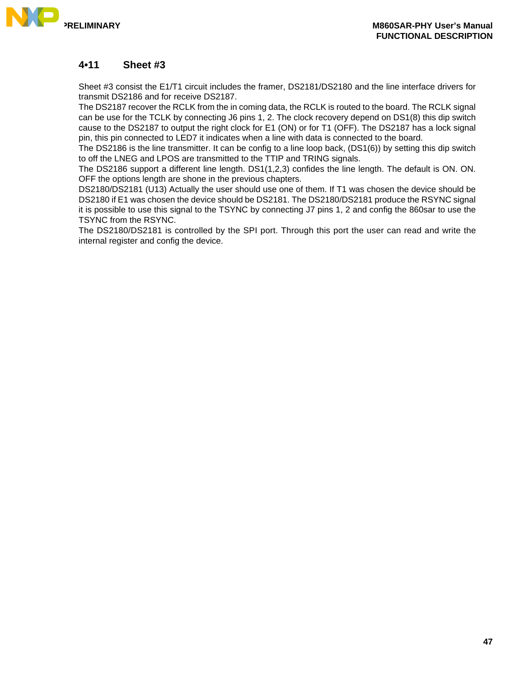

#### **4•11 Sheet #3**

Sheet #3 consist the E1/T1 circuit includes the framer, DS2181/DS2180 and the line interface drivers for transmit DS2186 and for receive DS2187.

The DS2187 recover the RCLK from the in coming data, the RCLK is routed to the board. The RCLK signal can be use for the TCLK by connecting J6 pins 1, 2. The clock recovery depend on DS1(8) this dip switch cause to the DS2187 to output the right clock for E1 (ON) or for T1 (OFF). The DS2187 has a lock signal pin, this pin connected to LED7 it indicates when a line with data is connected to the board.

The DS2186 is the line transmitter. It can be config to a line loop back, (DS1(6)) by setting this dip switch to off the LNEG and LPOS are transmitted to the TTIP and TRING signals.

The DS2186 support a different line length. DS1(1,2,3) confides the line length. The default is ON. ON. OFF the options length are shone in the previous chapters.

DS2180/DS2181 (U13) Actually the user should use one of them. If T1 was chosen the device should be DS2180 if E1 was chosen the device should be DS2181. The DS2180/DS2181 produce the RSYNC signal it is possible to use this signal to the TSYNC by connecting J7 pins 1, 2 and config the 860sar to use the TSYNC from the RSYNC.

The DS2180/DS2181 is controlled by the SPI port. Through this port the user can read and write the internal register and config the device.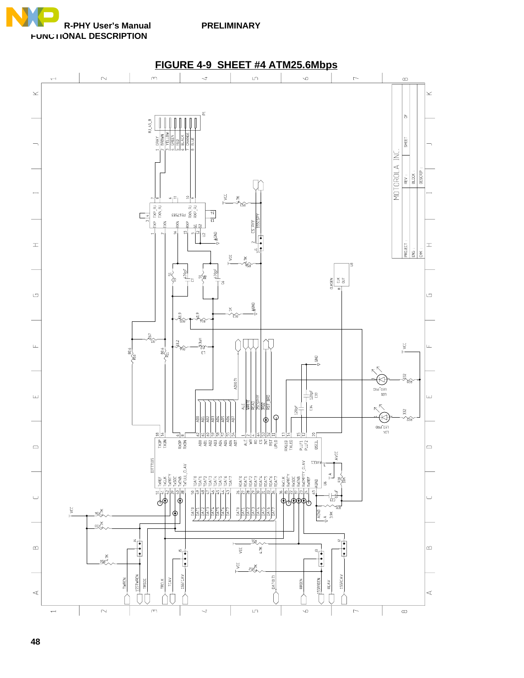



**48**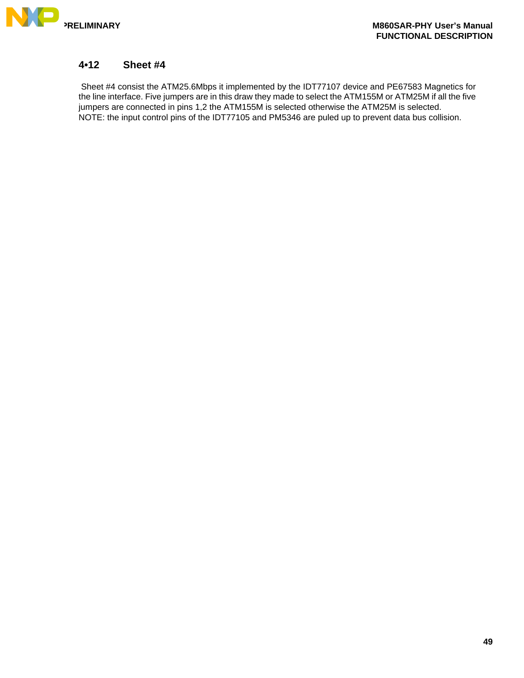

#### **4•12 Sheet #4**

 Sheet #4 consist the ATM25.6Mbps it implemented by the IDT77107 device and PE67583 Magnetics for the line interface. Five jumpers are in this draw they made to select the ATM155M or ATM25M if all the five jumpers are connected in pins 1,2 the ATM155M is selected otherwise the ATM25M is selected. NOTE: the input control pins of the IDT77105 and PM5346 are puled up to prevent data bus collision.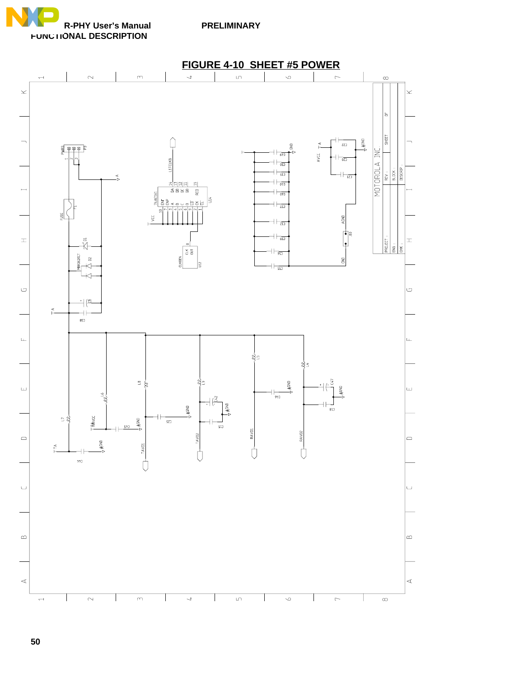

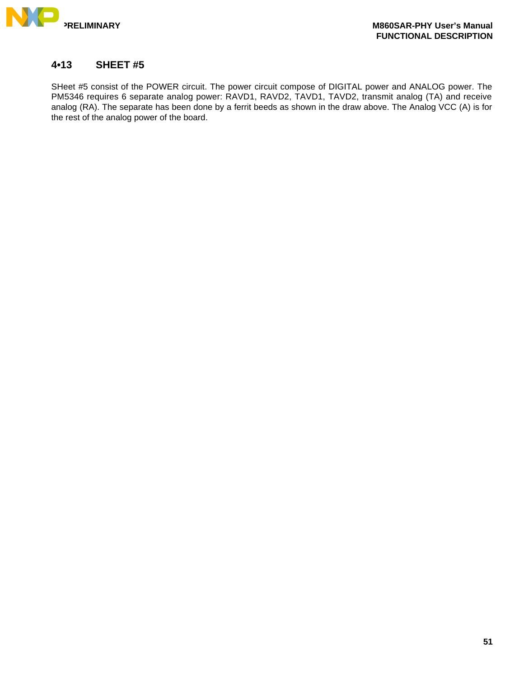

#### **4•13 SHEET #5**

SHeet #5 consist of the POWER circuit. The power circuit compose of DIGITAL power and ANALOG power. The PM5346 requires 6 separate analog power: RAVD1, RAVD2, TAVD1, TAVD2, transmit analog (TA) and receive analog (RA). The separate has been done by a ferrit beeds as shown in the draw above. The Analog VCC (A) is for the rest of the analog power of the board.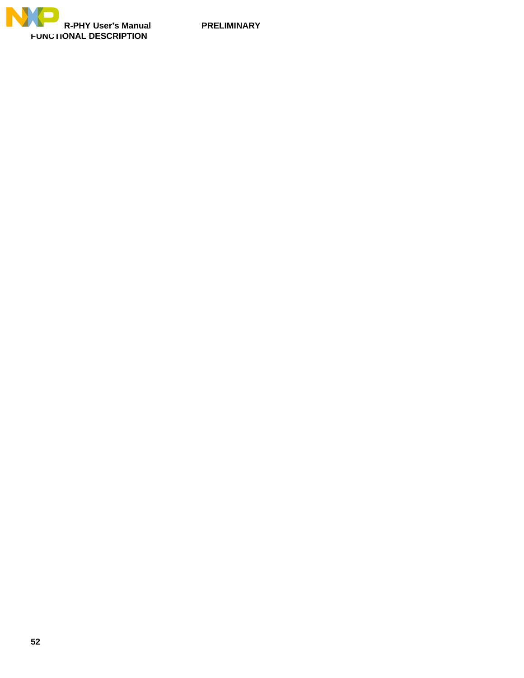

**52**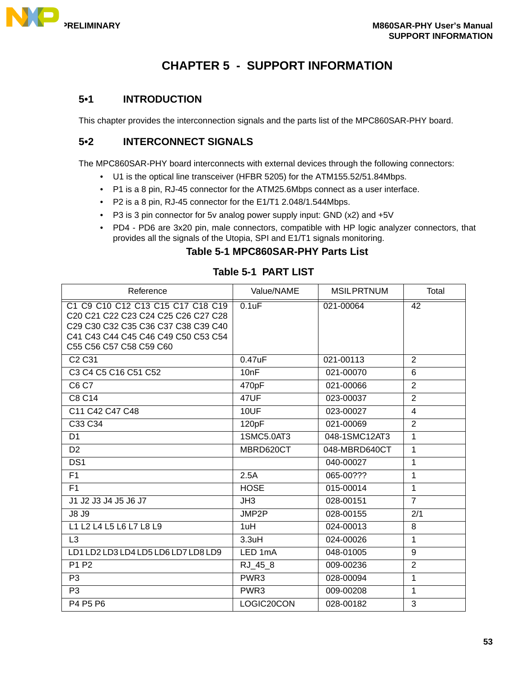

# **CHAPTER 5 - SUPPORT INFORMATION**

# **5•1 INTRODUCTION**

This chapter provides the interconnection signals and the parts list of the MPC860SAR-PHY board.

# **5•2 INTERCONNECT SIGNALS**

The MPC860SAR-PHY board interconnects with external devices through the following connectors:

- U1 is the optical line transceiver (HFBR 5205) for the ATM155.52/51.84Mbps.
- P1 is a 8 pin, RJ-45 connector for the ATM25.6Mbps connect as a user interface.
- P2 is a 8 pin, RJ-45 connector for the E1/T1 2.048/1.544Mbps.
- P3 is 3 pin connector for 5v analog power supply input: GND (x2) and +5V
- PD4 PD6 are 3x20 pin, male connectors, compatible with HP logic analyzer connectors, that provides all the signals of the Utopia, SPI and E1/T1 signals monitoring.

#### **Table 5-1 MPC860SAR-PHY Parts List**

| Reference                                                                                                                                                                                                                                                                                     | Value/NAME       | <b>MSILPRTNUM</b> | Total           |
|-----------------------------------------------------------------------------------------------------------------------------------------------------------------------------------------------------------------------------------------------------------------------------------------------|------------------|-------------------|-----------------|
| C1 C9 C10 C12 C13 C15 C17 C18 C19<br>C <sub>20</sub> C <sub>21</sub> C <sub>22</sub> C <sub>23</sub> C <sub>24</sub> C <sub>25</sub> C <sub>26</sub> C <sub>27</sub> C <sub>28</sub><br>C29 C30 C32 C35 C36 C37 C38 C39 C40<br>C41 C43 C44 C45 C46 C49 C50 C53 C54<br>C55 C56 C57 C58 C59 C60 | 0.1uF            | 021-00064         | $\overline{42}$ |
| C <sub>2</sub> C <sub>31</sub>                                                                                                                                                                                                                                                                | 0.47uF           | 021-00113         | $\overline{2}$  |
| C3 C4 C5 C16 C51 C52                                                                                                                                                                                                                                                                          | 10nF             | 021-00070         | 6               |
| C6 C7                                                                                                                                                                                                                                                                                         | 470pF            | 021-00066         | $\overline{2}$  |
| C8 C14                                                                                                                                                                                                                                                                                        | 47UF             | 023-00037         | $\overline{2}$  |
| C11 C42 C47 C48                                                                                                                                                                                                                                                                               | 10UF             | 023-00027         | $\overline{4}$  |
| C33 C34                                                                                                                                                                                                                                                                                       | 120pF            | 021-00069         | $\overline{2}$  |
| D <sub>1</sub>                                                                                                                                                                                                                                                                                | 1SMC5.0AT3       | 048-1SMC12AT3     | 1               |
| D <sub>2</sub>                                                                                                                                                                                                                                                                                | MBRD620CT        | 048-MBRD640CT     | 1               |
| DS <sub>1</sub>                                                                                                                                                                                                                                                                               |                  | 040-00027         | $\mathbf{1}$    |
| F1                                                                                                                                                                                                                                                                                            | 2.5A             | 065-00???         | $\mathbf{1}$    |
| F1                                                                                                                                                                                                                                                                                            | <b>HOSE</b>      | 015-00014         | $\mathbf{1}$    |
| J1 J2 J3 J4 J5 J6 J7                                                                                                                                                                                                                                                                          | JH3              | 028-00151         | $\overline{7}$  |
| <b>J8 J9</b>                                                                                                                                                                                                                                                                                  | JMP2P            | 028-00155         | 2/1             |
| L1 L2 L4 L5 L6 L7 L8 L9                                                                                                                                                                                                                                                                       | 1uH              | 024-00013         | 8               |
| L <sub>3</sub>                                                                                                                                                                                                                                                                                | 3.3uH            | 024-00026         | $\mathbf{1}$    |
| LD1 LD2 LD3 LD4 LD5 LD6 LD7 LD8 LD9                                                                                                                                                                                                                                                           | LED 1mA          | 048-01005         | 9               |
| P1 P2                                                                                                                                                                                                                                                                                         | RJ_45_8          | 009-00236         | $\overline{2}$  |
| P <sub>3</sub>                                                                                                                                                                                                                                                                                | PWR <sub>3</sub> | 028-00094         | 1               |
| P <sub>3</sub>                                                                                                                                                                                                                                                                                | PWR <sub>3</sub> | 009-00208         | 1               |
| P4 P5 P6                                                                                                                                                                                                                                                                                      | LOGIC20CON       | 028-00182         | 3               |

#### **Table 5-1 PART LIST**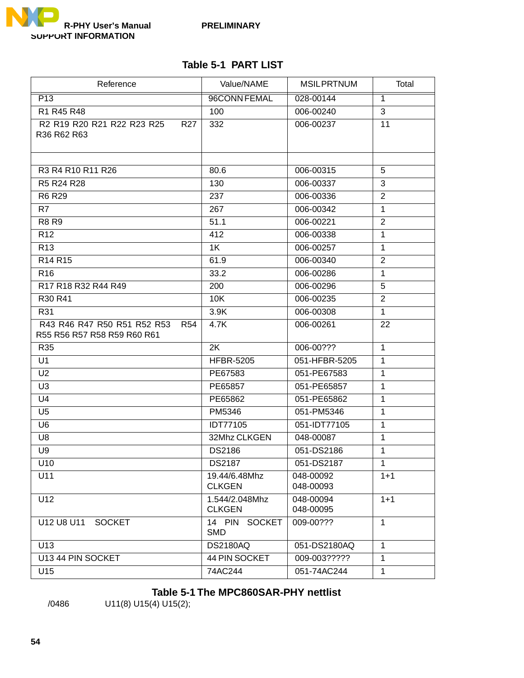

|  | Table 5-1 PART LIST |
|--|---------------------|
|--|---------------------|

| Reference                                                                | Value/NAME                      | <b>MSILPRTNUM</b>      | Total          |
|--------------------------------------------------------------------------|---------------------------------|------------------------|----------------|
| P13                                                                      | 96CONN FEMAL                    | 028-00144              | 1              |
| R1 R45 R48                                                               | 100                             | 006-00240              | $\overline{3}$ |
| R2 R19 R20 R21 R22 R23 R25<br>R <sub>27</sub><br>R36 R62 R63             | 332                             | 006-00237              | 11             |
|                                                                          |                                 |                        |                |
| R3 R4 R10 R11 R26                                                        | 80.6                            | 006-00315              | 5              |
| R5 R24 R28                                                               | 130                             | 006-00337              | $\overline{3}$ |
| R6 R29                                                                   | 237                             | 006-00336              | $\overline{2}$ |
| R <sub>7</sub>                                                           | 267                             | 006-00342              | $\overline{1}$ |
| <b>R8 R9</b>                                                             | 51.1                            | 006-00221              | $\overline{2}$ |
| R <sub>12</sub>                                                          | 412                             | 006-00338              | $\overline{1}$ |
| R <sub>13</sub>                                                          | 1K                              | 006-00257              | $\mathbf{1}$   |
| R14 R15                                                                  | 61.9                            | 006-00340              | $\overline{2}$ |
| R <sub>16</sub>                                                          | 33.2                            | 006-00286              | $\overline{1}$ |
| R17 R18 R32 R44 R49                                                      | 200                             | 006-00296              | $\overline{5}$ |
| R30 R41                                                                  | 10K                             | 006-00235              | $\overline{2}$ |
| R31                                                                      | 3.9K                            | 006-00308              | $\overline{1}$ |
| R43 R46 R47 R50 R51 R52 R53<br><b>R54</b><br>R55 R56 R57 R58 R59 R60 R61 | 4.7K                            | 006-00261              | 22             |
| R35                                                                      | 2K                              | 006-00???              | $\overline{1}$ |
| U1                                                                       | <b>HFBR-5205</b>                | 051-HFBR-5205          | $\mathbf{1}$   |
| U <sub>2</sub>                                                           | PE67583                         | 051-PE67583            | $\overline{1}$ |
| U <sub>3</sub>                                                           | PE65857                         | 051-PE65857            | $\mathbf{1}$   |
| U <sub>4</sub>                                                           | PE65862                         | 051-PE65862            | $\overline{1}$ |
| U <sub>5</sub>                                                           | PM5346                          | 051-PM5346             | $\mathbf{1}$   |
| U <sub>6</sub>                                                           | <b>IDT77105</b>                 | 051-IDT77105           | $\overline{1}$ |
| U8                                                                       | 32Mhz CLKGEN                    | 048-00087              | $\mathbf{1}$   |
| <b>U9</b>                                                                | DS2186                          | 051-DS2186             | $\overline{1}$ |
| $\overline{U10}$                                                         | <b>DS2187</b>                   | 051-DS2187             | 1              |
| U11                                                                      | 19.44/6.48Mhz<br><b>CLKGEN</b>  | 048-00092<br>048-00093 | $1 + 1$        |
| U12                                                                      | 1.544/2.048Mhz<br><b>CLKGEN</b> | 048-00094<br>048-00095 | $1 + 1$        |
| U12 U8 U11 SOCKET                                                        | 14 PIN SOCKET<br><b>SMD</b>     | 009-00???              | $\overline{1}$ |
| U13                                                                      | <b>DS2180AQ</b>                 | 051-DS2180AQ           | $\mathbf{1}$   |
| U13 44 PIN SOCKET                                                        | 44 PIN SOCKET                   | 009-003?????           | $\overline{1}$ |
| U15                                                                      | 74AC244                         | 051-74AC244            | $\mathbf{1}$   |

# **Table 5-1 The MPC860SAR-PHY nettlist**

/0486 U11(8) U15(4) U15(2);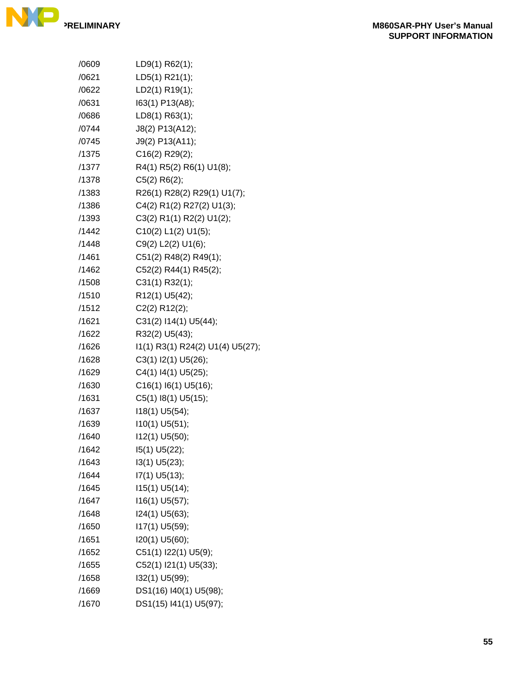

| /0609<br>/0621 | LD9(1) R62(1);<br>LD5(1) R21(1); |
|----------------|----------------------------------|
| /0622          | LD2(1) R19(1);                   |
| /0631          | I63(1) P13(A8);                  |
| /0686          | LD8(1) R63(1);                   |
| /0744          | J8(2) P13(A12);                  |
| /0745          | J9(2) P13(A11);                  |
| /1375          | C16(2) R29(2);                   |
| /1377          | R4(1) R5(2) R6(1) U1(8);         |
| /1378          | $C5(2)$ R6 $(2)$ ;               |
| /1383          | R26(1) R28(2) R29(1) U1(7);      |
| /1386          | C4(2) R1(2) R27(2) U1(3);        |
| /1393          | C3(2) R1(1) R2(2) U1(2);         |
| /1442          | C10(2) L1(2) U1(5);              |
| /1448          | C9(2) L2(2) U1(6);               |
| /1461          | C51(2) R48(2) R49(1);            |
| /1462          | C52(2) R44(1) R45(2);            |
| /1508          | C31(1) R32(1);                   |
| /1510          | R12(1) U5(42);                   |
| /1512          | C2(2) R12(2);                    |
| /1621          | C31(2) I14(1) U5(44);            |
| /1622          | R32(2) U5(43);                   |
| /1626          | I1(1) R3(1) R24(2) U1(4) U5(27); |
| /1628          | C3(1) I2(1) U5(26);              |
| /1629          | C4(1) I4(1) U5(25);              |
| /1630          | C16(1) I6(1) U5(16);             |
| /1631          | C5(1) I8(1) U5(15);              |
| /1637          | I18(1) U5(54);                   |
| /1639          | $110(1)$ U5(51);                 |
| /1640          | I12(1) U5(50);                   |
| /1642          | I5(1) U5(22);                    |
| /1643          | I3(1) U5(23);                    |
| /1644          | $17(1)$ U5(13);                  |
| /1645          | $115(1)$ U5(14);                 |
| /1647          | I16(1) U5(57);                   |
| /1648          | I24(1) U5(63);                   |
| /1650          | I17(1) U5(59);                   |
| /1651          | I20(1) U5(60);                   |
| /1652          | C51(1) I22(1) U5(9);             |
| /1655          | C52(1) I21(1) U5(33);            |
| /1658          | I32(1) U5(99);                   |
| /1669          | DS1(16) I40(1) U5(98);           |
| /1670          | DS1(15) I41(1) U5(97);           |
|                |                                  |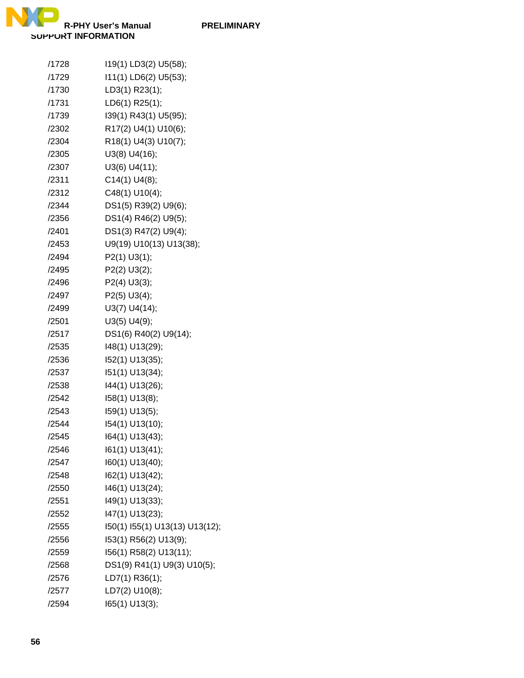| /1728 | I19(1) LD3(2) U5(58);          |
|-------|--------------------------------|
| /1729 | I11(1) LD6(2) U5(53);          |
| /1730 | LD3(1) R23(1);                 |
| /1731 | LD6(1) R25(1);                 |
| /1739 | I39(1) R43(1) U5(95);          |
| /2302 | R17(2) U4(1) U10(6);           |
| /2304 | R18(1) U4(3) U10(7);           |
| /2305 | U3(8) U4(16);                  |
| /2307 | U3(6) U4(11);                  |
| /2311 | C14(1) U4(8);                  |
| /2312 | C48(1) U10(4);                 |
| /2344 | DS1(5) R39(2) U9(6);           |
| /2356 | DS1(4) R46(2) U9(5);           |
| /2401 | DS1(3) R47(2) U9(4);           |
| /2453 | U9(19) U10(13) U13(38);        |
| /2494 | P2(1) U3(1);                   |
| /2495 | P2(2) U3(2);                   |
| /2496 | P2(4) U3(3);                   |
| /2497 | P2(5) U3(4);                   |
| /2499 | U3(7) U4(14);                  |
| /2501 | U3(5) U4(9);                   |
| /2517 | DS1(6) R40(2) U9(14);          |
| /2535 | I48(1) U13(29);                |
| /2536 | I52(1) U13(35);                |
| /2537 | I51(1) U13(34);                |
| /2538 | I44(1) U13(26);                |
| /2542 | I58(1) U13(8);                 |
| /2543 | I59(1) U13(5);                 |
| /2544 | I54(1) U13(10);                |
| /2545 | I64(1) U13(43);                |
| /2546 | I61(1) U13(41);                |
| /2547 | I60(1) U13(40);                |
| /2548 | I62(1) U13(42);                |
| /2550 | I46(1) U13(24);                |
| /2551 | I49(1) U13(33);                |
| /2552 | I47(1) U13(23);                |
| /2555 | I50(1) I55(1) U13(13) U13(12); |
| /2556 | I53(1) R56(2) U13(9);          |
| /2559 | I56(1) R58(2) U13(11);         |
| /2568 | DS1(9) R41(1) U9(3) U10(5);    |
| /2576 | LD7(1) R36(1);                 |
| /2577 | LD7(2) U10(8);                 |
| /2594 | I65(1) U13(3);                 |
|       |                                |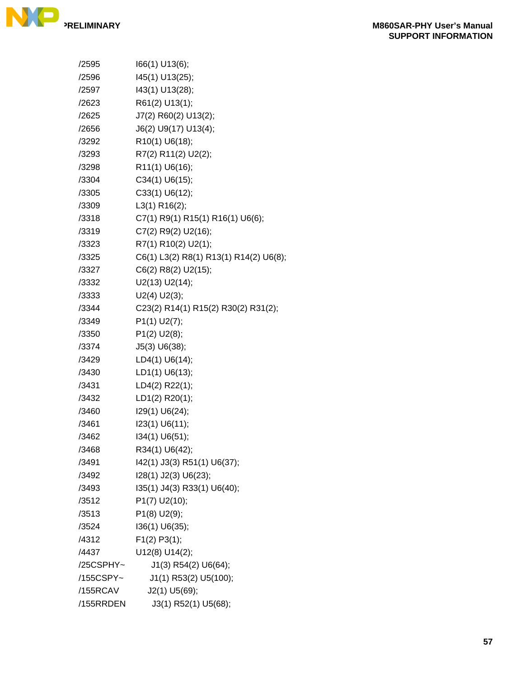

| /2595     | I66(1) U13(6);                         |
|-----------|----------------------------------------|
| /2596     | I45(1) U13(25);                        |
| /2597     | I43(1) U13(28);                        |
| /2623     | R61(2) U13(1);                         |
| /2625     | J7(2) R60(2) U13(2);                   |
| /2656     | J6(2) U9(17) U13(4);                   |
| /3292     | R10(1) U6(18);                         |
| /3293     | R7(2) R11(2) U2(2);                    |
| /3298     | R11(1) U6(16);                         |
| /3304     | C34(1) U6(15);                         |
| /3305     | C33(1) U6(12);                         |
| /3309     | L3(1) R16(2);                          |
| /3318     | C7(1) R9(1) R15(1) R16(1) U6(6);       |
| /3319     | C7(2) R9(2) U2(16);                    |
| /3323     | R7(1) R10(2) U2(1);                    |
| /3325     | C6(1) L3(2) R8(1) R13(1) R14(2) U6(8); |
| /3327     | C6(2) R8(2) U2(15);                    |
| /3332     | U2(13) U2(14);                         |
| /3333     | U2(4) U2(3);                           |
| /3344     | C23(2) R14(1) R15(2) R30(2) R31(2);    |
| /3349     | P1(1) U2(7);                           |
| /3350     | P1(2) U2(8);                           |
| /3374     | $J5(3)$ U6 $(38)$ ;                    |
| /3429     | LD4(1) U6(14);                         |
| /3430     | LD1(1) U6(13);                         |
| /3431     | LD4(2) R22(1);                         |
| /3432     | LD1(2) R20(1);                         |
| /3460     | I29(1) U6(24);                         |
| /3461     | I23(1) U6(11);                         |
| /3462     | I34(1) U6(51);                         |
| /3468     | R34(1) U6(42);                         |
| /3491     | I42(1) J3(3) R51(1) U6(37);            |
| /3492     | I28(1) J2(3) U6(23);                   |
| /3493     | I35(1) J4(3) R33(1) U6(40);            |
| /3512     | P1(7) U2(10);                          |
| /3513     | P1(8) U2(9);                           |
| /3524     | I36(1) U6(35);                         |
| /4312     | F1(2) P3(1);                           |
| /4437     | U12(8) U14(2);                         |
| /25CSPHY~ | J1(3) R54(2) U6(64);                   |
| /155CSPY~ | J1(1) R53(2) U5(100);                  |
| /155RCAV  | J2(1) U5(69);                          |
| /155RRDEN | J3(1) R52(1) U5(68);                   |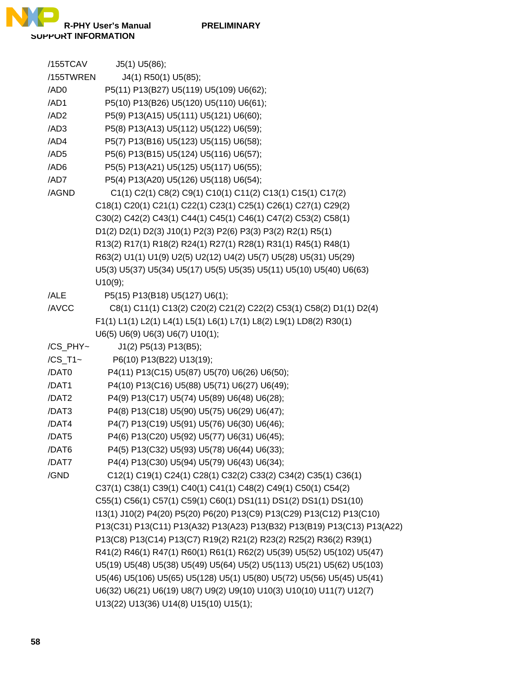

| /155TCAV    | $J5(1)$ U5 $(86)$ ;                                                     |
|-------------|-------------------------------------------------------------------------|
| /155TWREN   | J4(1) R50(1) U5(85);                                                    |
| /AD0        | P5(11) P13(B27) U5(119) U5(109) U6(62);                                 |
| /AD1        | P5(10) P13(B26) U5(120) U5(110) U6(61);                                 |
| /AD2        | P5(9) P13(A15) U5(111) U5(121) U6(60);                                  |
| /AD3        | P5(8) P13(A13) U5(112) U5(122) U6(59);                                  |
| /AD4        | P5(7) P13(B16) U5(123) U5(115) U6(58);                                  |
| /AD5        | P5(6) P13(B15) U5(124) U5(116) U6(57);                                  |
| /AD6        | P5(5) P13(A21) U5(125) U5(117) U6(55);                                  |
| /AD7        | P5(4) P13(A20) U5(126) U5(118) U6(54);                                  |
| /AGND       | C1(1) C2(1) C8(2) C9(1) C10(1) C11(2) C13(1) C15(1) C17(2)              |
|             | C18(1) C20(1) C21(1) C22(1) C23(1) C25(1) C26(1) C27(1) C29(2)          |
|             | C30(2) C42(2) C43(1) C44(1) C45(1) C46(1) C47(2) C53(2) C58(1)          |
|             | D1(2) D2(1) D2(3) J10(1) P2(3) P2(6) P3(3) P3(2) R2(1) R5(1)            |
|             | R13(2) R17(1) R18(2) R24(1) R27(1) R28(1) R31(1) R45(1) R48(1)          |
|             | R63(2) U1(1) U1(9) U2(5) U2(12) U4(2) U5(7) U5(28) U5(31) U5(29)        |
|             | U5(3) U5(37) U5(34) U5(17) U5(5) U5(35) U5(11) U5(10) U5(40) U6(63)     |
|             | U10(9);                                                                 |
| /ALE        | P5(15) P13(B18) U5(127) U6(1);                                          |
| <b>AVCC</b> | C8(1) C11(1) C13(2) C20(2) C21(2) C22(2) C53(1) C58(2) D1(1) D2(4)      |
|             | F1(1) L1(1) L2(1) L4(1) L5(1) L6(1) L7(1) L8(2) L9(1) LD8(2) R30(1)     |
|             | U6(5) U6(9) U6(3) U6(7) U10(1);                                         |
| /CS_PHY∼    | J1(2) P5(13) P13(B5);                                                   |
| /CS_T1~     | P6(10) P13(B22) U13(19);                                                |
| /DAT0       | P4(11) P13(C15) U5(87) U5(70) U6(26) U6(50);                            |
| /DAT1       | P4(10) P13(C16) U5(88) U5(71) U6(27) U6(49);                            |
| /DAT2       | P4(9) P13(C17) U5(74) U5(89) U6(48) U6(28);                             |
| /DAT3       | P4(8) P13(C18) U5(90) U5(75) U6(29) U6(47);                             |
| /DAT4       | P4(7) P13(C19) U5(91) U5(76) U6(30) U6(46);                             |
| /DAT5       | P4(6) P13(C20) U5(92) U5(77) U6(31) U6(45);                             |
| /DAT6       | P4(5) P13(C32) U5(93) U5(78) U6(44) U6(33);                             |
| /DAT7       | P4(4) P13(C30) U5(94) U5(79) U6(43) U6(34);                             |
| /GND        | C12(1) C19(1) C24(1) C28(1) C32(2) C33(2) C34(2) C35(1) C36(1)          |
|             | C37(1) C38(1) C39(1) C40(1) C41(1) C48(2) C49(1) C50(1) C54(2)          |
|             | C55(1) C56(1) C57(1) C59(1) C60(1) DS1(11) DS1(2) DS1(1) DS1(10)        |
|             | I13(1) J10(2) P4(20) P5(20) P6(20) P13(C9) P13(C29) P13(C12) P13(C10)   |
|             | P13(C31) P13(C11) P13(A32) P13(A23) P13(B32) P13(B19) P13(C13) P13(A22) |
|             | P13(C8) P13(C14) P13(C7) R19(2) R21(2) R23(2) R25(2) R36(2) R39(1)      |
|             | R41(2) R46(1) R47(1) R60(1) R61(1) R62(2) U5(39) U5(52) U5(102) U5(47)  |
|             | U5(19) U5(48) U5(38) U5(49) U5(64) U5(2) U5(113) U5(21) U5(62) U5(103)  |
|             | U5(46) U5(106) U5(65) U5(128) U5(1) U5(80) U5(72) U5(56) U5(45) U5(41)  |
|             | U6(32) U6(21) U6(19) U8(7) U9(2) U9(10) U10(3) U10(10) U11(7) U12(7)    |
|             | U13(22) U13(36) U14(8) U15(10) U15(1);                                  |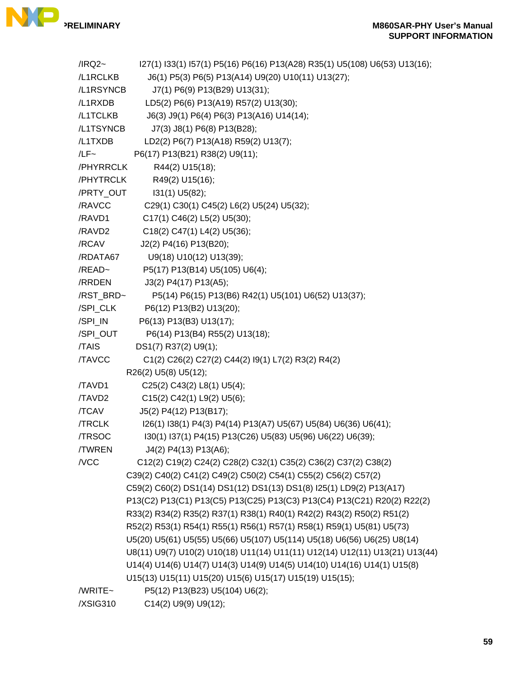

| /IRQ2~        | I27(1) I33(1) I57(1) P5(16) P6(16) P13(A28) R35(1) U5(108) U6(53) U13(16);  |
|---------------|-----------------------------------------------------------------------------|
| /L1RCLKB      | J6(1) P5(3) P6(5) P13(A14) U9(20) U10(11) U13(27);                          |
| /L1RSYNCB     | J7(1) P6(9) P13(B29) U13(31);                                               |
| /L1RXDB       | LD5(2) P6(6) P13(A19) R57(2) U13(30);                                       |
| /L1TCLKB      | J6(3) J9(1) P6(4) P6(3) P13(A16) U14(14);                                   |
| /L1TSYNCB     | J7(3) J8(1) P6(8) P13(B28);                                                 |
| /L1TXDB       | LD2(2) P6(7) P13(A18) R59(2) U13(7);                                        |
| $/LF -$       | P6(17) P13(B21) R38(2) U9(11);                                              |
| /PHYRRCLK     | R44(2) U15(18);                                                             |
| /PHYTRCLK     | R49(2) U15(16);                                                             |
| /PRTY_OUT     | I31(1) U5(82);                                                              |
| /RAVCC        | C29(1) C30(1) C45(2) L6(2) U5(24) U5(32);                                   |
| /RAVD1        | C17(1) C46(2) L5(2) U5(30);                                                 |
| /RAVD2        | C18(2) C47(1) L4(2) U5(36);                                                 |
| /RCAV         | J2(2) P4(16) P13(B20);                                                      |
| /RDATA67      | U9(18) U10(12) U13(39);                                                     |
| /READ~        | P5(17) P13(B14) U5(105) U6(4);                                              |
| /RRDEN        | J3(2) P4(17) P13(A5);                                                       |
| /RST_BRD~     | P5(14) P6(15) P13(B6) R42(1) U5(101) U6(52) U13(37);                        |
| /SPI_CLK      | P6(12) P13(B2) U13(20);                                                     |
| /SPI_IN       | P6(13) P13(B3) U13(17);                                                     |
| /SPI_OUT      | P6(14) P13(B4) R55(2) U13(18);                                              |
| /TAIS         | DS1(7) R37(2) U9(1);                                                        |
| <b>/TAVCC</b> | C1(2) C26(2) C27(2) C44(2) I9(1) L7(2) R3(2) R4(2)                          |
|               | R26(2) U5(8) U5(12);                                                        |
| /TAVD1        | C25(2) C43(2) L8(1) U5(4);                                                  |
| /TAVD2        | C15(2) C42(1) L9(2) U5(6);                                                  |
| /TCAV         | J5(2) P4(12) P13(B17);                                                      |
| <b>/TRCLK</b> | I26(1) I38(1) P4(3) P4(14) P13(A7) U5(67) U5(84) U6(36) U6(41);             |
| <b>/TRSOC</b> | I30(1) I37(1) P4(15) P13(C26) U5(83) U5(96) U6(22) U6(39);                  |
| <b>/TWREN</b> | J4(2) P4(13) P13(A6);                                                       |
| /VCC          | C12(2) C19(2) C24(2) C28(2) C32(1) C35(2) C36(2) C37(2) C38(2)              |
|               | C39(2) C40(2) C41(2) C49(2) C50(2) C54(1) C55(2) C56(2) C57(2)              |
|               | C59(2) C60(2) DS1(14) DS1(12) DS1(13) DS1(8) I25(1) LD9(2) P13(A17)         |
|               | P13(C2) P13(C1) P13(C5) P13(C25) P13(C3) P13(C4) P13(C21) R20(2) R22(2)     |
|               | R33(2) R34(2) R35(2) R37(1) R38(1) R40(1) R42(2) R43(2) R50(2) R51(2)       |
|               | R52(2) R53(1) R54(1) R55(1) R56(1) R57(1) R58(1) R59(1) U5(81) U5(73)       |
|               | U5(20) U5(61) U5(55) U5(66) U5(107) U5(114) U5(18) U6(56) U6(25) U8(14)     |
|               | U8(11) U9(7) U10(2) U10(18) U11(14) U11(11) U12(14) U12(11) U13(21) U13(44) |
|               | U14(4) U14(6) U14(7) U14(3) U14(9) U14(5) U14(10) U14(16) U14(1) U15(8)     |
|               | U15(13) U15(11) U15(20) U15(6) U15(17) U15(19) U15(15);                     |
| $M$ RITE~     | P5(12) P13(B23) U5(104) U6(2);                                              |
| /XSIG310      | $C14(2)$ U9(9) U9(12);                                                      |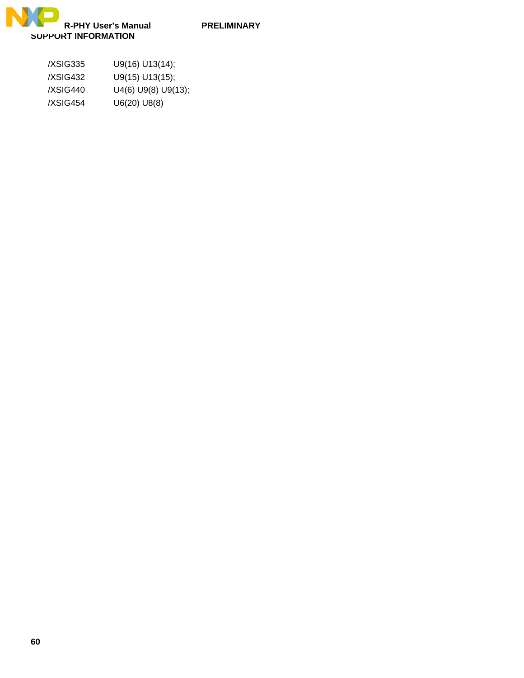

| /XSIG335 | U9(16) U13(14);     |
|----------|---------------------|
| /XSIG432 | U9(15) U13(15);     |
| /XSIG440 | U4(6) U9(8) U9(13); |
| /XSIG454 | U6(20) U8(8)        |